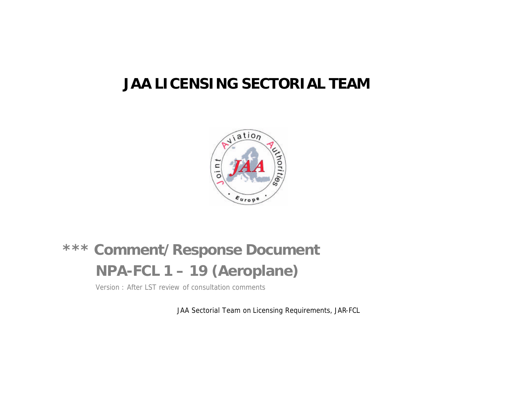## **JAA LICENSING SECTORIAL TEAM**



# **\*\*\* Comment/Response Document NPA-FCL 1 – 19 (Aeroplane)**

Version : After LST review of consultation comments

JAA Sectorial Team on Licensing Requirements, JAR-FCL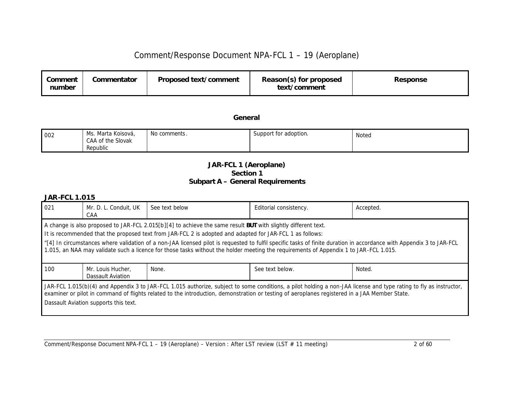| Comment<br>number | Commentator | Proposed text/comment | Reason(s) for proposed<br>text/comment | Response |
|-------------------|-------------|-----------------------|----------------------------------------|----------|
|-------------------|-------------|-----------------------|----------------------------------------|----------|

*General*

| 002 | Marta Koisová,<br>Ms.<br>CAA of the Slovak | No comments . | Support for adoption. | Notea |
|-----|--------------------------------------------|---------------|-----------------------|-------|
|     | Republic                                   |               |                       |       |

#### *JAR-FCL 1 (Aeroplane) Section 1 Subpart A – General Requirements*

| 021                                                                                                                                                                                                                                                                                                                                                                                                                                                                                                                                        | Mr. D. L. Conduit, UK<br>CAA           | See text below | Editorial consistency. | Accepted. |  |
|--------------------------------------------------------------------------------------------------------------------------------------------------------------------------------------------------------------------------------------------------------------------------------------------------------------------------------------------------------------------------------------------------------------------------------------------------------------------------------------------------------------------------------------------|----------------------------------------|----------------|------------------------|-----------|--|
| A change is also proposed to JAR-FCL 2.015[b][4] to achieve the same result BUT with slightly different text.<br>It is recommended that the proposed text from JAR-FCL 2 is adopted and adapted for JAR-FCL 1 as follows:<br>"[4] In circumstances where validation of a non-JAA licensed pilot is requested to fulfil specific tasks of finite duration in accordance with Appendix 3 to JAR-FCL<br>1.015, an NAA may validate such a licence for those tasks without the holder meeting the requirements of Appendix 1 to JAR-FCL 1.015. |                                        |                |                        |           |  |
| 100                                                                                                                                                                                                                                                                                                                                                                                                                                                                                                                                        | Mr. Louis Hucher,<br>Dassault Aviation | None.          | See text below.        | Noted.    |  |
| JAR-FCL 1.015(b)(4) and Appendix 3 to JAR-FCL 1.015 authorize, subject to some conditions, a pilot holding a non-JAA license and type rating to fly as instructor,<br>examiner or pilot in command of flights related to the introduction, demonstration or testing of aeroplanes registered in a JAA Member State.<br>Dassault Aviation supports this text.                                                                                                                                                                               |                                        |                |                        |           |  |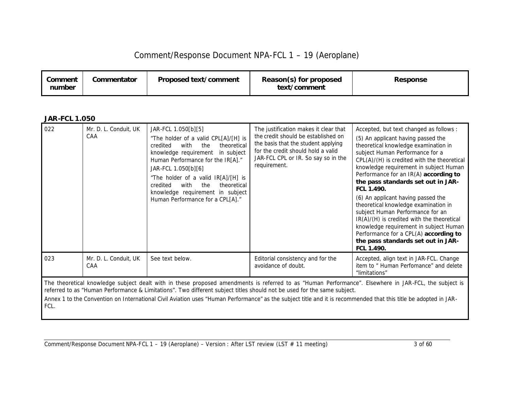| Comment<br>number | Commentator | Proposed text/comment | Reason(s) for proposed<br>text/comment | Response |
|-------------------|-------------|-----------------------|----------------------------------------|----------|
|-------------------|-------------|-----------------------|----------------------------------------|----------|

#### *JAR-FCL 1.050*

| 022 | Mr. D. L. Conduit, UK<br>CAA | JAR-FCL 1.050[b][5]<br>"The holder of a valid CPL[A]/[H] is<br>with<br>the<br>theoretical<br>credited<br>knowledge requirement in subject<br>Human Performance for the IR[A]."<br>JAR-FCL 1.050[b][6]<br>"The holder of a valid IR[A]/[H] is<br>with the<br>theoretical<br>credited<br>knowledge requirement in subject<br>Human Performance for a CPL[A]." | The justification makes it clear that<br>the credit should be established on<br>the basis that the student applying<br>for the credit should hold a valid<br>JAR-FCL CPL or IR. So say so in the<br>requirement. | Accepted, but text changed as follows :<br>(5) An applicant having passed the<br>theoretical knowledge examination in<br>subject Human Performance for a<br>CPL(A)/(H) is credited with the theoretical<br>knowledge requirement in subject Human<br>Performance for an IR(A) according to<br>the pass standards set out in JAR-<br>FCL 1.490.<br>(6) An applicant having passed the<br>theoretical knowledge examination in<br>subject Human Performance for an<br>IR(A)/(H) is credited with the theoretical<br>knowledge requirement in subject Human<br>Performance for a CPL(A) according to<br>the pass standards set out in JAR-<br>FCL 1.490. |
|-----|------------------------------|-------------------------------------------------------------------------------------------------------------------------------------------------------------------------------------------------------------------------------------------------------------------------------------------------------------------------------------------------------------|------------------------------------------------------------------------------------------------------------------------------------------------------------------------------------------------------------------|-------------------------------------------------------------------------------------------------------------------------------------------------------------------------------------------------------------------------------------------------------------------------------------------------------------------------------------------------------------------------------------------------------------------------------------------------------------------------------------------------------------------------------------------------------------------------------------------------------------------------------------------------------|
| 023 | Mr. D. L. Conduit, UK<br>CAA | See text below.                                                                                                                                                                                                                                                                                                                                             | Editorial consistency and for the<br>avoidance of doubt.                                                                                                                                                         | Accepted, align text in JAR-FCL. Change<br>item to " Human Perfomance" and delete<br>"limitations"                                                                                                                                                                                                                                                                                                                                                                                                                                                                                                                                                    |

The theoretical knowledge subject dealt with in these proposed amendments is referred to as "Human Performance". Elsewhere in JAR-FCL, the subject is referred to as "Human Performance & Limitations". Two different subject titles should not be used for the same subject.

Annex 1 to the Convention on International Civil Aviation uses "Human Performance" as the subject title and it is recommended that this title be adopted in JAR-FCL.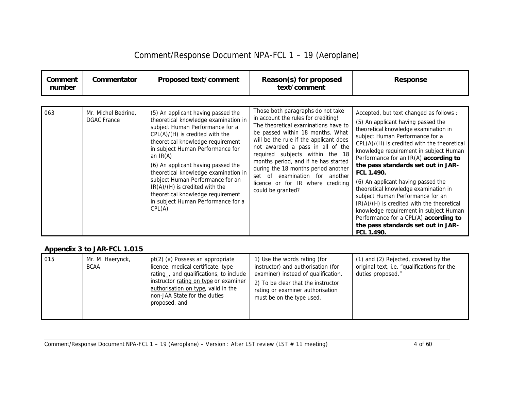| Comment<br>number | Commentator                               | Proposed text/comment                                                                                                                                                                                                                                                                                                                                                                                                                                                                | Reason(s) for proposed<br>text/comment                                                                                                                                                                                                                                                                                                                                                                                                           | <b>Response</b>                                                                                                                                                                                                                                                                                                                                                                                                                                                                                                                                                                                                                                       |
|-------------------|-------------------------------------------|--------------------------------------------------------------------------------------------------------------------------------------------------------------------------------------------------------------------------------------------------------------------------------------------------------------------------------------------------------------------------------------------------------------------------------------------------------------------------------------|--------------------------------------------------------------------------------------------------------------------------------------------------------------------------------------------------------------------------------------------------------------------------------------------------------------------------------------------------------------------------------------------------------------------------------------------------|-------------------------------------------------------------------------------------------------------------------------------------------------------------------------------------------------------------------------------------------------------------------------------------------------------------------------------------------------------------------------------------------------------------------------------------------------------------------------------------------------------------------------------------------------------------------------------------------------------------------------------------------------------|
| 063               | Mr. Michel Bedrine,<br><b>DGAC</b> France | (5) An applicant having passed the<br>theoretical knowledge examination in<br>subject Human Performance for a<br>$CPL(A)/(H)$ is credited with the<br>theoretical knowledge requirement<br>in subject Human Performance for<br>an $IR(A)$<br>(6) An applicant having passed the<br>theoretical knowledge examination in<br>subject Human Performance for an<br>$IR(A)/(H)$ is credited with the<br>theoretical knowledge requirement<br>in subject Human Performance for a<br>CPL(A) | Those both paragraphs do not take<br>in account the rules for crediting!<br>The theoretical examinations have to<br>be passed within 18 months. What<br>will be the rule if the applicant does<br>not awarded a pass in all of the<br>required subjects within the 18<br>months period, and if he has started<br>during the 18 months period another<br>set of examination for another<br>licence or for IR where crediting<br>could be granted? | Accepted, but text changed as follows :<br>(5) An applicant having passed the<br>theoretical knowledge examination in<br>subject Human Performance for a<br>CPL(A)/(H) is credited with the theoretical<br>knowledge requirement in subject Human<br>Performance for an IR(A) according to<br>the pass standards set out in JAR-<br>FCL 1.490.<br>(6) An applicant having passed the<br>theoretical knowledge examination in<br>subject Human Performance for an<br>IR(A)/(H) is credited with the theoretical<br>knowledge requirement in subject Human<br>Performance for a CPL(A) according to<br>the pass standards set out in JAR-<br>FCL 1.490. |

#### *Appendix 3 to JAR-FCL 1.015*

| 015 | Mr. M. Haerynck,<br><b>BCAA</b> | pt(2) (a) Possess an appropriate<br>licence, medical certificate, type<br>rating, and qualifications, to include<br>instructor rating on type or examiner<br>authorisation on type, valid in the<br>non-JAA State for the duties<br>proposed, and | 1) Use the words rating (for<br>instructor) and authorisation (for<br>examiner) instead of qualification.<br>2) To be clear that the instructor<br>rating or examiner authorisation<br>must be on the type used. | (1) and (2) Rejected, covered by the<br>original text, i.e. "qualifications for the<br>duties proposed." |
|-----|---------------------------------|---------------------------------------------------------------------------------------------------------------------------------------------------------------------------------------------------------------------------------------------------|------------------------------------------------------------------------------------------------------------------------------------------------------------------------------------------------------------------|----------------------------------------------------------------------------------------------------------|
|-----|---------------------------------|---------------------------------------------------------------------------------------------------------------------------------------------------------------------------------------------------------------------------------------------------|------------------------------------------------------------------------------------------------------------------------------------------------------------------------------------------------------------------|----------------------------------------------------------------------------------------------------------|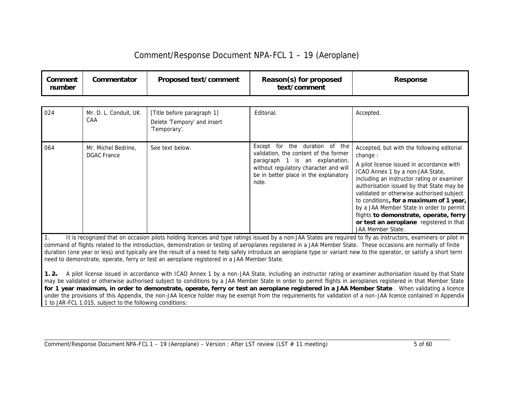| Comment<br>number | Commentator | Proposed text/comment | Reason(s) for proposed<br>text/comment | <b>Response</b> |
|-------------------|-------------|-----------------------|----------------------------------------|-----------------|
|-------------------|-------------|-----------------------|----------------------------------------|-----------------|

| 024 | Mr. D. L. Conduit, UK<br>CAA              | [Title before paragraph 1]<br>Delete 'Tempory' and insert<br>'Temporary'. | Editorial.                                                                                                                                                                                           | Accepted.                                                                                                                                                                                                                                                                                                                                                                                                                                                                       |
|-----|-------------------------------------------|---------------------------------------------------------------------------|------------------------------------------------------------------------------------------------------------------------------------------------------------------------------------------------------|---------------------------------------------------------------------------------------------------------------------------------------------------------------------------------------------------------------------------------------------------------------------------------------------------------------------------------------------------------------------------------------------------------------------------------------------------------------------------------|
| 064 | Mr. Michel Bedrine,<br><b>DGAC France</b> | See text below.                                                           | Except for the duration of the<br>validation, the content of the former<br>paragraph 1 is an explanation,<br>without regulatory character and will<br>be in better place in the explanatory<br>note. | Accepted, but with the following editorial<br>change:<br>A pilot license issued in accordance with<br>ICAO Annex 1 by a non-JAA State,<br>including an instructor rating or examiner<br>authorisation issued by that State may be<br>validated or otherwise authorised subject<br>to conditions, for a maximum of 1 year,<br>by a JAA Member State in order to permit<br>flights to demonstrate, operate, ferry<br>or test an aeroplane registered in that<br>JAA Member State. |

*1. It is recognized that on occasion pilots holding licences and type ratings issued by a non-JAA States are required to fly as instructors, examiners or pilot in command of flights related to the introduction, demonstration or testing of aeroplanes registered in a JAA Member State. These occasions are normally of finite duration (one year or less) and typically are the result of a need to help safely introduce an aeroplane type or variant new to the operator, or satisfy a short term need to demonstrate, operate, ferry or test an aeroplane registered in a JAA Member State.* 

*1. 2. A pilot license issued in accordance with ICAO Annex 1 by a non-JAA State, including an instructor rating or examiner authorisation issued by that State may be validated or otherwise authorised subject to conditions by a JAA Member State in order to permit flights in aeroplanes registered in that Member State for 1 year maximum, in order to demonstrate, operate, ferry or test an aeroplane registered in a JAA Member State . When validating a licence under the provisions of this Appendix, the non-JAA licence holder may be exempt from the requirements for validation of a non-JAA licence contained in Appendix 1 to JAR-FCL 1.015, subject to the following conditions:*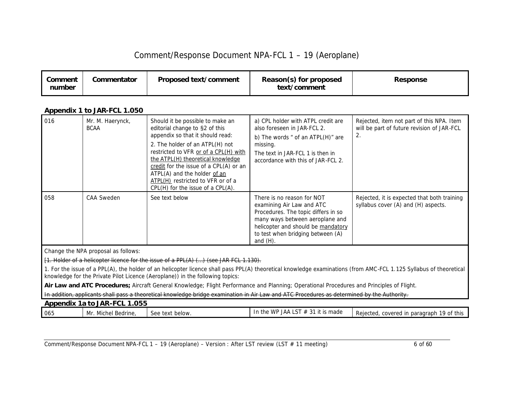| Comment<br>number | Commentator | Proposed text/comment | Reason(s) for proposed<br>text/comment | <b>Response</b> |
|-------------------|-------------|-----------------------|----------------------------------------|-----------------|
|-------------------|-------------|-----------------------|----------------------------------------|-----------------|

#### *Appendix 1 to JAR-FCL 1.050*

| 016 | Mr. M. Haerynck,<br><b>BCAA</b> | Should it be possible to make an<br>editorial change to §2 of this<br>appendix so that it should read:<br>2. The holder of an ATPL(H) not<br>restricted to VFR or of a CPL(H) with<br>the ATPL(H) theoretical knowledge<br>credit for the issue of a CPL(A) or an<br>ATPL(A) and the holder of an<br>ATPL(H) restricted to VFR or of a<br>$CPL(H)$ for the issue of a $CPL(A)$ . | a) CPL holder with ATPL credit are<br>also foreseen in JAR-FCL 2.<br>b) The words " of an ATPL(H)" are<br>missing.<br>The text in JAR-FCL 1 is then in<br>accordance with this of JAR-FCL 2.                                | Rejected, item not part of this NPA. Item<br>will be part of future revision of JAR-FCL<br>2. |
|-----|---------------------------------|----------------------------------------------------------------------------------------------------------------------------------------------------------------------------------------------------------------------------------------------------------------------------------------------------------------------------------------------------------------------------------|-----------------------------------------------------------------------------------------------------------------------------------------------------------------------------------------------------------------------------|-----------------------------------------------------------------------------------------------|
| 058 | <b>CAA Sweden</b>               | See text below                                                                                                                                                                                                                                                                                                                                                                   | There is no reason for NOT<br>examining Air Law and ATC<br>Procedures. The topic differs in so<br>many ways between aeroplane and<br>helicopter and should be mandatory<br>to test when bridging between (A)<br>and $(H)$ . | Rejected, it is expected that both training<br>syllabus cover (A) and (H) aspects.            |

Change the NPA proposal as follows:

[1. Holder of a helicopter licence for the issue of a PPL(A) (…) (see JAR FCL 1.130).

1. For the issue of a PPL(A), the holder of an helicopter licence shall pass PPL(A) theoretical knowledge examinations (from AMC-FCL 1.125 Syllabus of theoretical knowledge for the Private Pilot Licence (Aeroplane)) in the following topics:

Air Law and ATC Procedures; Aircraft General Knowledge; Flight Performance and Planning; Operational Procedures and Principles of Flight.

In addition, applicants shall pass a theoretical knowledge bridge examination in Air Law and ATC Procedures as determined by the Authority.

| .055<br><b>Appendix 1a to JAR-FCL</b> |                            |                                  |                                                                                   |                                                 |  |
|---------------------------------------|----------------------------|----------------------------------|-----------------------------------------------------------------------------------|-------------------------------------------------|--|
| 065                                   | Michel<br>' Bedrine,<br>Mr | xt below.<br>500<br>≧tex⊾<br>こしし | $\overline{1}$ $\overline{C}$<br>$\sim$ $\sim$<br>JAA<br>WP<br>it is made<br>$+h$ | Rejected,<br>19 of this<br>covered in paragraph |  |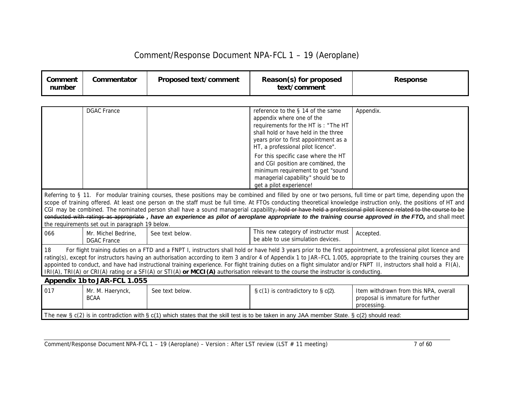| Comment<br>number | Commentator                                                                                                                                                                                                                                                                                                                                                                                                                                                                                                                                                                                                                                              | Proposed text/comment | Reason(s) for proposed<br>text/comment                                                                                                                                                                                        | <b>Response</b>                                                                                                                                                                                                                                                                                                                                                                                                                                                                                                                                                                                                                                                |  |  |  |  |  |
|-------------------|----------------------------------------------------------------------------------------------------------------------------------------------------------------------------------------------------------------------------------------------------------------------------------------------------------------------------------------------------------------------------------------------------------------------------------------------------------------------------------------------------------------------------------------------------------------------------------------------------------------------------------------------------------|-----------------------|-------------------------------------------------------------------------------------------------------------------------------------------------------------------------------------------------------------------------------|----------------------------------------------------------------------------------------------------------------------------------------------------------------------------------------------------------------------------------------------------------------------------------------------------------------------------------------------------------------------------------------------------------------------------------------------------------------------------------------------------------------------------------------------------------------------------------------------------------------------------------------------------------------|--|--|--|--|--|
|                   |                                                                                                                                                                                                                                                                                                                                                                                                                                                                                                                                                                                                                                                          |                       |                                                                                                                                                                                                                               |                                                                                                                                                                                                                                                                                                                                                                                                                                                                                                                                                                                                                                                                |  |  |  |  |  |
|                   | <b>DGAC France</b>                                                                                                                                                                                                                                                                                                                                                                                                                                                                                                                                                                                                                                       |                       | reference to the § 14 of the same<br>appendix where one of the<br>requirements for the HT is : "The HT<br>shall hold or have held in the three<br>years prior to first appointment as a<br>HT, a professional pilot licence". | Appendix.                                                                                                                                                                                                                                                                                                                                                                                                                                                                                                                                                                                                                                                      |  |  |  |  |  |
|                   |                                                                                                                                                                                                                                                                                                                                                                                                                                                                                                                                                                                                                                                          |                       | For this specific case where the HT<br>and CGI position are combined, the<br>minimum requirement to get "sound<br>managerial capability" should be to<br>get a pilot experience!                                              |                                                                                                                                                                                                                                                                                                                                                                                                                                                                                                                                                                                                                                                                |  |  |  |  |  |
|                   | the requirements set out in paragraph 19 below.                                                                                                                                                                                                                                                                                                                                                                                                                                                                                                                                                                                                          |                       |                                                                                                                                                                                                                               | Referring to § 11. For modular training courses, these positions may be combined and filled by one or two persons, full time or part time, depending upon the<br>scope of training offered. At least one person on the staff must be full time. At FTOs conducting theoretical knowledge instruction only, the positions of HT and<br>CGI may be combined. The nominated person shall have a sound managerial capability, hold or have held a professional pilot licence related to the course to be<br>conducted with ratings as appropriate, have an experience as pilot of aeroplane appropriate to the training course approved in the FTO, and shall meet |  |  |  |  |  |
| 066               | Mr. Michel Bedrine.<br><b>DGAC</b> France                                                                                                                                                                                                                                                                                                                                                                                                                                                                                                                                                                                                                | See text below.       | This new category of instructor must<br>be able to use simulation devices.                                                                                                                                                    | Accepted.                                                                                                                                                                                                                                                                                                                                                                                                                                                                                                                                                                                                                                                      |  |  |  |  |  |
| 18                | For flight training duties on a FTD and a FNPT I, instructors shall hold or have held 3 years prior to the first appointment, a professional pilot licence and<br>rating(s), except for instructors having an authorisation according to item 3 and/or 4 of Appendix 1 to JAR-FCL 1.005, appropriate to the training courses they are<br>appointed to conduct, and have had instructional training experience. For flight training duties on a flight simulator and/or FNPT 11, instructors shall hold a FI(A),<br>$IR(A)$ , TRI(A) or CRI(A) rating or a SFI(A) or STI(A) or MCCI(A) authorisation relevant to the course the instructor is conducting. |                       |                                                                                                                                                                                                                               |                                                                                                                                                                                                                                                                                                                                                                                                                                                                                                                                                                                                                                                                |  |  |  |  |  |
|                   | Appendix 1b to JAR-FCL 1.055                                                                                                                                                                                                                                                                                                                                                                                                                                                                                                                                                                                                                             |                       |                                                                                                                                                                                                                               |                                                                                                                                                                                                                                                                                                                                                                                                                                                                                                                                                                                                                                                                |  |  |  |  |  |
| 017               | Mr. M. Haerynck,<br><b>BCAA</b>                                                                                                                                                                                                                                                                                                                                                                                                                                                                                                                                                                                                                          | See text below.       | $\S c(1)$ is contradictory to $\S c(2)$ .                                                                                                                                                                                     | Item withdrawn from this NPA, overall<br>proposal is immature for further<br>processing.                                                                                                                                                                                                                                                                                                                                                                                                                                                                                                                                                                       |  |  |  |  |  |
|                   |                                                                                                                                                                                                                                                                                                                                                                                                                                                                                                                                                                                                                                                          |                       | The new $\S c(2)$ is in contradiction with $\S c(1)$ which states that the skill test is to be taken in any JAA member State. $\S c(2)$ should read:                                                                          |                                                                                                                                                                                                                                                                                                                                                                                                                                                                                                                                                                                                                                                                |  |  |  |  |  |

Comment/Response Document NPA-FCL 1 – 19 (Aeroplane) – Version : After LST review (LST # 11 meeting) 7 of 60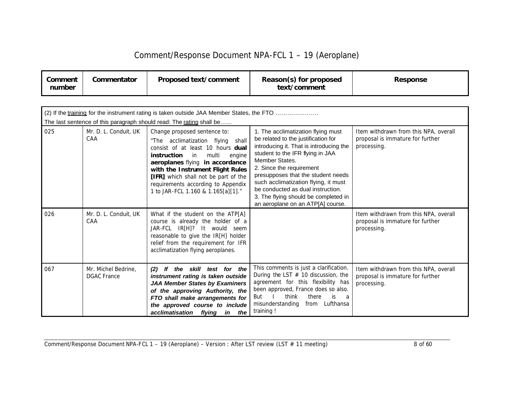| Comment/Response Document NPA-FCL 1 - 19 (Aeroplane) |  |
|------------------------------------------------------|--|
|------------------------------------------------------|--|

| Comment<br>number | Commentator                               | Proposed text/comment                                                                                                                                                                                                                                                                                                                        | Reason(s) for proposed<br>text/comment                                                                                                                                                                                                                                                                                                                                                                 | <b>Response</b>                                                                          |  |  |  |  |  |
|-------------------|-------------------------------------------|----------------------------------------------------------------------------------------------------------------------------------------------------------------------------------------------------------------------------------------------------------------------------------------------------------------------------------------------|--------------------------------------------------------------------------------------------------------------------------------------------------------------------------------------------------------------------------------------------------------------------------------------------------------------------------------------------------------------------------------------------------------|------------------------------------------------------------------------------------------|--|--|--|--|--|
|                   |                                           |                                                                                                                                                                                                                                                                                                                                              |                                                                                                                                                                                                                                                                                                                                                                                                        |                                                                                          |  |  |  |  |  |
|                   |                                           | (2) If the training for the instrument rating is taken outside JAA Member States, the FTO<br>The last sentence of this paragraph should read: The rating shall be                                                                                                                                                                            |                                                                                                                                                                                                                                                                                                                                                                                                        |                                                                                          |  |  |  |  |  |
| 025               | Mr. D. L. Conduit, UK<br>CAA              | Change proposed sentence to:<br>"The acclimatization flying<br>shall<br>consist of at least 10 hours dual<br>multi<br>instruction<br>in<br>engine<br>aeroplanes flying in accordance<br>with the Instrument Flight Rules<br>[IFR] which shall not be part of the<br>requirements according to Appendix<br>1 to JAR-FCL 1.160 & 1.165[a][1]." | 1. The acclimatization flying must<br>be related to the justification for<br>introducing it. That is introducing the<br>student to the IFR flying in JAA<br>Member States.<br>2. Since the requirement<br>presupposes that the student needs<br>such acclimatization flying, it must<br>be conducted as dual instruction.<br>3. The flying should be completed in<br>an aeroplane on an ATP[A] course. | Item withdrawn from this NPA, overall<br>proposal is immature for further<br>processing. |  |  |  |  |  |
| 026               | Mr. D. L. Conduit, UK<br>CAA              | What if the student on the ATP[A]<br>course is already the holder of a<br>JAR-FCL IR[H]? It would seem<br>reasonable to give the IR[H] holder<br>relief from the requirement for IFR<br>acclimatization flying aeroplanes.                                                                                                                   |                                                                                                                                                                                                                                                                                                                                                                                                        | Item withdrawn from this NPA, overall<br>proposal is immature for further<br>processing. |  |  |  |  |  |
| 067               | Mr. Michel Bedrine,<br><b>DGAC France</b> | If the skill test for the<br>(2)<br>instrument rating is taken outside<br><b>JAA Member States by Examiners</b><br>of the approving Authority, the<br>FTO shall make arrangements for<br>the approved course to include<br>acclimatisation flying in the                                                                                     | This comments is just a clarification.<br>During the LST $#$ 10 discussion, the<br>agreement for this flexibility has<br>been approved, France does so also.<br>think<br>there<br>is<br>But<br>a<br>Lufthansa<br>misunderstanding<br>from<br>training !                                                                                                                                                | Item withdrawn from this NPA, overall<br>proposal is immature for further<br>processing. |  |  |  |  |  |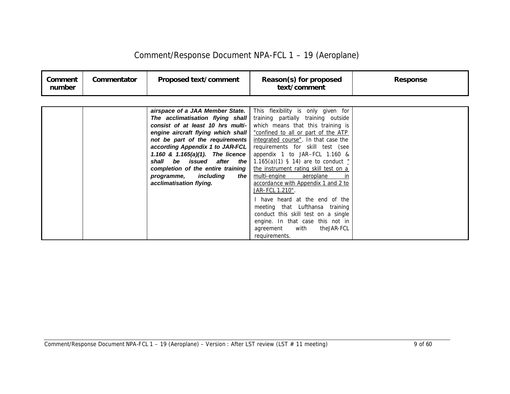| Comment<br>number | Commentator | <b>Proposed text/comment</b>                                                                                                                                                                                                             | Reason(s) for proposed<br>text/comment                                                                                                                                                                                                                                                                                                                                                                                                                                                                                                                                                                                                                                                                                                                              | <b>Response</b> |
|-------------------|-------------|------------------------------------------------------------------------------------------------------------------------------------------------------------------------------------------------------------------------------------------|---------------------------------------------------------------------------------------------------------------------------------------------------------------------------------------------------------------------------------------------------------------------------------------------------------------------------------------------------------------------------------------------------------------------------------------------------------------------------------------------------------------------------------------------------------------------------------------------------------------------------------------------------------------------------------------------------------------------------------------------------------------------|-----------------|
|                   |             |                                                                                                                                                                                                                                          |                                                                                                                                                                                                                                                                                                                                                                                                                                                                                                                                                                                                                                                                                                                                                                     |                 |
|                   |             | airspace of a JAA Member State.<br>according Appendix 1 to JAR-FCL<br>1.160 & $1.165(a)(1)$ . The licence<br>shall<br>be issued after the<br>completion of the entire training<br>programme, including<br>the<br>acclimatisation flying. | This flexibility is only given for<br><b>The acclimatisation flying shall</b>   training partially training outside<br>consist of at least 10 hrs multi- which means that this training is<br>engine aircraft flying which shall   "confined to all or part of the ATP<br><b>not be part of the requirements</b>   <i>integrated course</i> ". In that case the<br>requirements for skill test (see<br>appendix 1 to JAR-FCL 1.160 &<br>1.165(a)(1) § 14) are to conduct "<br>the instrument rating skill test on a<br>multi-engine aeroplane<br>in<br>accordance with Appendix 1 and 2 to<br><u>JAR–FCL 1.210"</u> .<br>have heard at the end of the<br>meeting that Lufthansa training<br>conduct this skill test on a single<br>engine. In that case this not in |                 |

agreement with theJAR-FCL

requirements.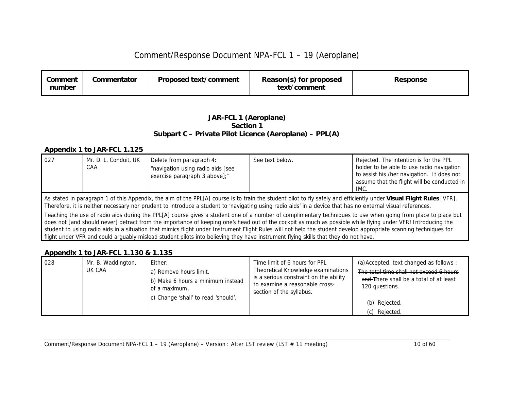| Comment<br>number | Commentator | Proposed text/comment | Reason(s) for proposed<br>text/comment | <b>Response</b> |
|-------------------|-------------|-----------------------|----------------------------------------|-----------------|
|-------------------|-------------|-----------------------|----------------------------------------|-----------------|

#### *JAR-FCL 1 (Aeroplane) Section 1 Subpart C – Private Pilot Licence (Aeroplane) – PPL(A)*

#### *Appendix 1 to JAR-FCL 1.125*

| 027                                                                                                                                                                                                                                                                                                                                | Mr. D. L. Conduit, UK<br>CAA                                                                                                                                  | Delete from paragraph 4:<br>"navigation using radio aids [see<br>exercise paragraph 3 above];" | See text below. | Rejected. The intention is for the PPL<br>holder to be able to use radio navigation<br>to assist his /her navigation. It does not<br>assume that the flight will be conducted in<br>IMC. |  |
|------------------------------------------------------------------------------------------------------------------------------------------------------------------------------------------------------------------------------------------------------------------------------------------------------------------------------------|---------------------------------------------------------------------------------------------------------------------------------------------------------------|------------------------------------------------------------------------------------------------|-----------------|------------------------------------------------------------------------------------------------------------------------------------------------------------------------------------------|--|
| As stated in paragraph 1 of this Appendix, the aim of the PPL[A] course is to train the student pilot to fly safely and efficiently under Visual Flight Rules [VFR].<br>Therefore, it is neither necessary nor prudent to introduce a student to 'navigating using radio aids' in a device that has no external visual references. |                                                                                                                                                               |                                                                                                |                 |                                                                                                                                                                                          |  |
|                                                                                                                                                                                                                                                                                                                                    | Teaching the use of radio aids during the PPL[A] course gives a student one of a number of complimentary techniques to use when going from place to place but |                                                                                                |                 |                                                                                                                                                                                          |  |

does not [and should never] detract from the importance of keeping one's head out of the cockpit as much as possible while flying under VFR! Introducing the student to using radio aids in a situation that mimics flight under Instrument Flight Rules will not help the student develop appropriate scanning techniques for flight under VFR and could arguably mislead student pilots into believing they have instrument flying skills that they do not have.

#### *Appendix 1 to JAR-FCL 1.130 & 1.135*

| 028 | Mr. B. Waddington,<br>UK CAA | Either:<br>a) Remove hours limit.<br>b) Make 6 hours a minimum instead<br>of a maximum.<br>c) Change 'shall' to read 'should'. | Time limit of 6 hours for PPL<br>Theoretical Knowledge examinations<br>is a serious constraint on the ability<br>to examine a reasonable cross-<br>section of the syllabus. | (a) Accepted, text changed as follows:<br>The total time shall not exceed 6 hours<br>and There shall be a total of at least<br>120 questions.<br>(b) Rejected.<br>(c) Rejected. |
|-----|------------------------------|--------------------------------------------------------------------------------------------------------------------------------|-----------------------------------------------------------------------------------------------------------------------------------------------------------------------------|---------------------------------------------------------------------------------------------------------------------------------------------------------------------------------|
|-----|------------------------------|--------------------------------------------------------------------------------------------------------------------------------|-----------------------------------------------------------------------------------------------------------------------------------------------------------------------------|---------------------------------------------------------------------------------------------------------------------------------------------------------------------------------|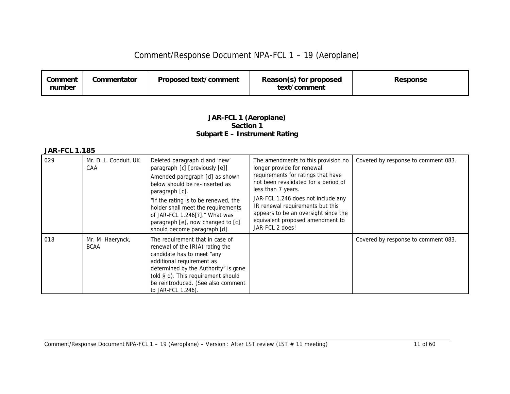| Proposed text/comment<br>Commentator<br>Reason(s) for proposed<br>Comment<br><b>Response</b><br>text/comment<br>number |
|------------------------------------------------------------------------------------------------------------------------|
|------------------------------------------------------------------------------------------------------------------------|

#### *JAR-FCL 1 (Aeroplane) Section 1 Subpart E – Instrument Rating*

| 029 | Mr. D. L. Conduit, UK<br>CAA    | Deleted paragraph d and 'new'<br>paragraph [c] [previously [e]]<br>Amended paragraph [d] as shown<br>below should be re-inserted as<br>paragraph [c].<br>"If the rating is to be renewed, the<br>holder shall meet the requirements<br>of JAR-FCL 1.246[?]." What was<br>paragraph [e], now changed to [c]<br>should become paragraph [d]. | The amendments to this provision no<br>longer provide for renewal<br>requirements for ratings that have<br>not been revalidated for a period of<br>less than 7 years.<br>JAR-FCL 1.246 does not include any<br>IR renewal requirements but this<br>appears to be an oversight since the<br>equivalent proposed amendment to<br>JAR-FCL 2 does! | Covered by response to comment 083. |
|-----|---------------------------------|--------------------------------------------------------------------------------------------------------------------------------------------------------------------------------------------------------------------------------------------------------------------------------------------------------------------------------------------|------------------------------------------------------------------------------------------------------------------------------------------------------------------------------------------------------------------------------------------------------------------------------------------------------------------------------------------------|-------------------------------------|
| 018 | Mr. M. Haerynck,<br><b>BCAA</b> | The requirement that in case of<br>renewal of the IR(A) rating the<br>candidate has to meet "any<br>additional requirement as<br>determined by the Authority" is gone<br>(old § d). This requirement should<br>be reintroduced. (See also comment<br>to JAR-FCL 1.246).                                                                    |                                                                                                                                                                                                                                                                                                                                                | Covered by response to comment 083. |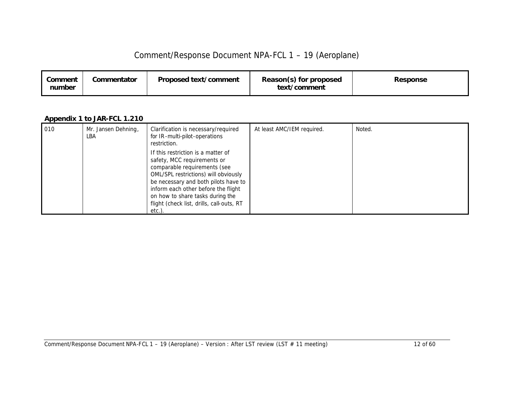| Comment<br>number | Commentator | Proposed text/comment | Reason(s) for proposed<br>text/comment | Response |
|-------------------|-------------|-----------------------|----------------------------------------|----------|
|-------------------|-------------|-----------------------|----------------------------------------|----------|

#### *Appendix 1 to JAR-FCL 1.210*

| 010 | Mr. Jansen Dehning,<br>LBA | Clarification is necessary/required<br>for IR-multi-pilot-operations<br>restriction.                                                                                                                                                                                                                               | At least AMC/IEM required. | Noted. |
|-----|----------------------------|--------------------------------------------------------------------------------------------------------------------------------------------------------------------------------------------------------------------------------------------------------------------------------------------------------------------|----------------------------|--------|
|     |                            | If this restriction is a matter of<br>safety, MCC requirements or<br>comparable requirements (see<br>OML/SPL restrictions) will obviously<br>be necessary and both pilots have to<br>inform each other before the flight<br>on how to share tasks during the<br>flight (check list, drills, call-outs, RT<br>etc.) |                            |        |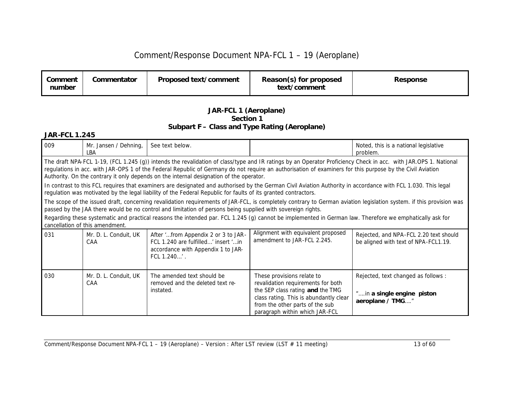| Comment<br>number | Commentator | Proposed text/comment | Reason(s) for proposed<br>text/comment | Response |
|-------------------|-------------|-----------------------|----------------------------------------|----------|
|                   |             |                       |                                        |          |

#### *JAR-FCL 1 (Aeroplane) Section 1 Subpart F – Class and Type Rating (Aeroplane)*

| 009 | Mr. Jansen / Dehning,<br>LBA                                                                                                                                                                                                                                                                                                                                                                                            | See text below.                                                                                                                                                                                                                                                                 |                                                                                                                                                                                                                     | Noted, this is a national legislative<br>problem.                                                                                                                   |  |  |  |  |
|-----|-------------------------------------------------------------------------------------------------------------------------------------------------------------------------------------------------------------------------------------------------------------------------------------------------------------------------------------------------------------------------------------------------------------------------|---------------------------------------------------------------------------------------------------------------------------------------------------------------------------------------------------------------------------------------------------------------------------------|---------------------------------------------------------------------------------------------------------------------------------------------------------------------------------------------------------------------|---------------------------------------------------------------------------------------------------------------------------------------------------------------------|--|--|--|--|
|     | The draft NPA-FCL 1-19, (FCL 1.245 (g)) intends the revalidation of class/type and IR ratings by an Operator Proficiency Check in acc. with JAR.OPS 1. National<br>regulations in acc. with JAR-OPS 1 of the Federal Republic of Germany do not require an authorisation of examiners for this purpose by the Civil Aviation<br>Authority. On the contrary it only depends on the internal designation of the operator. |                                                                                                                                                                                                                                                                                 |                                                                                                                                                                                                                     |                                                                                                                                                                     |  |  |  |  |
|     |                                                                                                                                                                                                                                                                                                                                                                                                                         | In contrast to this FCL requires that examiners are designated and authorised by the German Civil Aviation Authority in accordance with FCL 1.030. This legal<br>regulation was motivated by the legal liability of the Federal Republic for faults of its granted contractors. |                                                                                                                                                                                                                     |                                                                                                                                                                     |  |  |  |  |
|     |                                                                                                                                                                                                                                                                                                                                                                                                                         | passed by the JAA there would be no control and limitation of persons being supplied with sovereign rights.                                                                                                                                                                     |                                                                                                                                                                                                                     | The scope of the issued draft, concerning revalidation requirements of JAR-FCL, is completely contrary to German aviation legislation system. if this provision was |  |  |  |  |
|     | cancellation of this amendment.                                                                                                                                                                                                                                                                                                                                                                                         | Regarding these systematic and practical reasons the intended par. FCL 1.245 (g) cannot be implemented in German law. Therefore we emphatically ask for                                                                                                                         |                                                                                                                                                                                                                     |                                                                                                                                                                     |  |  |  |  |
| 031 | Mr. D. L. Conduit, UK<br>CAA                                                                                                                                                                                                                                                                                                                                                                                            | After 'from Appendix 2 or 3 to JAR-<br>FCL 1.240 are fulfilled' insert ' in<br>accordance with Appendix 1 to JAR-<br>FCL 1.240'.                                                                                                                                                | Alignment with equivalent proposed<br>amendment to JAR-FCL 2.245.                                                                                                                                                   | Rejected, and NPA-FCL 2.20 text should<br>be aligned with text of NPA-FCL1.19.                                                                                      |  |  |  |  |
| 030 | Mr. D. L. Conduit, UK<br>CAA                                                                                                                                                                                                                                                                                                                                                                                            | The amended text should be<br>removed and the deleted text re-<br>instated.                                                                                                                                                                                                     | These provisions relate to<br>revalidation requirements for both<br>the SEP class rating and the TMG<br>class rating. This is abundantly clear<br>from the other parts of the sub<br>paragraph within which JAR-FCL | Rejected, text changed as follows :<br>"in a single engine piston<br>aeroplane / TMG"                                                                               |  |  |  |  |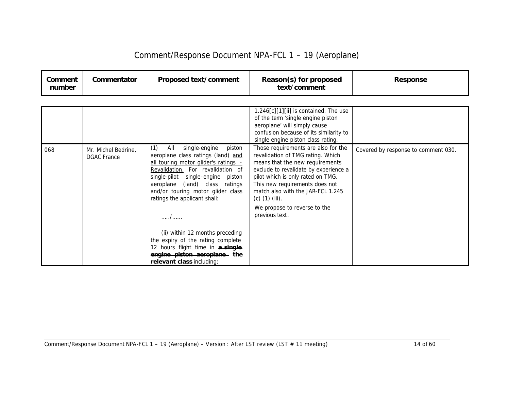| Comment/Response Document NPA-FCL 1 - 19 (Aeroplane) |  |  |
|------------------------------------------------------|--|--|
|------------------------------------------------------|--|--|

| Comment<br>number | Commentator | Proposed text/comment | Reason(s) for proposed<br>text/comment | <b>Response</b> |
|-------------------|-------------|-----------------------|----------------------------------------|-----------------|
|-------------------|-------------|-----------------------|----------------------------------------|-----------------|

|     |                                           |                                                                                                                                                                                                                                                                                                                                                                                                                                                                                     | $1.246[c][1][ii]$ is contained. The use<br>of the term 'single engine piston<br>aeroplane' will simply cause<br>confusion because of its similarity to<br>single engine piston class rating.                                                                                                                                           |                                     |
|-----|-------------------------------------------|-------------------------------------------------------------------------------------------------------------------------------------------------------------------------------------------------------------------------------------------------------------------------------------------------------------------------------------------------------------------------------------------------------------------------------------------------------------------------------------|----------------------------------------------------------------------------------------------------------------------------------------------------------------------------------------------------------------------------------------------------------------------------------------------------------------------------------------|-------------------------------------|
| 068 | Mr. Michel Bedrine,<br><b>DGAC</b> France | (1)<br>single-engine<br>All<br>piston<br>aeroplane class ratings (land) and<br>all touring motor glider's ratings -<br>Revalidation. For revalidation of<br>single-pilot single-engine piston<br>aeroplane (land) class ratings<br>and/or touring motor glider class<br>ratings the applicant shall:<br>. /<br>(ii) within 12 months preceding<br>the expiry of the rating complete<br>12 hours flight time in a single<br>engine piston aeroplane the<br>relevant class including: | Those requirements are also for the<br>revalidation of TMG rating. Which<br>means that the new requirements<br>exclude to revalidate by experience a<br>pilot which is only rated on TMG.<br>This new requirements does not<br>match also with the JAR-FCL 1.245<br>(c) $(1)$ (iii).<br>We propose to reverse to the<br>previous text. | Covered by response to comment 030. |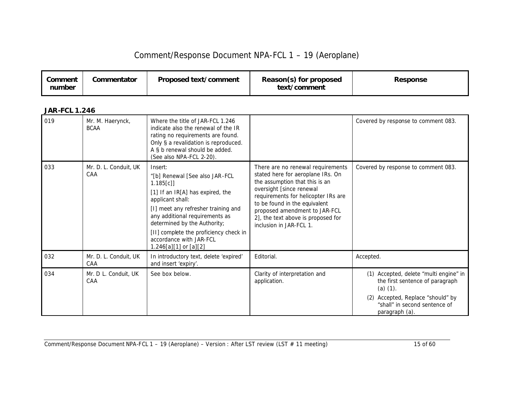| Comment<br>number | Commentator | Proposed text/comment | Reason(s) for proposed<br>text/comment | Response |
|-------------------|-------------|-----------------------|----------------------------------------|----------|
|-------------------|-------------|-----------------------|----------------------------------------|----------|

| 019 | Mr. M. Haerynck,<br><b>BCAA</b> | Where the title of JAR-FCL 1.246<br>indicate also the renewal of the IR<br>rating no requirements are found.<br>Only § a revalidation is reproduced.<br>A § b renewal should be added.<br>(See also NPA-FCL 2-20).                                                                                                       |                                                                                                                                                                                                                                                                                                                | Covered by response to comment 083.                                                                                                                                                   |
|-----|---------------------------------|--------------------------------------------------------------------------------------------------------------------------------------------------------------------------------------------------------------------------------------------------------------------------------------------------------------------------|----------------------------------------------------------------------------------------------------------------------------------------------------------------------------------------------------------------------------------------------------------------------------------------------------------------|---------------------------------------------------------------------------------------------------------------------------------------------------------------------------------------|
| 033 | Mr. D. L. Conduit, UK<br>CAA    | Insert:<br>"[b] Renewal [See also JAR-FCL<br>1.185[c]<br>[1] If an IR[A] has expired, the<br>applicant shall:<br>[I] meet any refresher training and<br>any additional requirements as<br>determined by the Authority;<br>[II] complete the proficiency check in<br>accordance with JAR-FCL<br>$1.246[a][1]$ or $[a][2]$ | There are no renewal requirements<br>stated here for aeroplane IRs. On<br>the assumption that this is an<br>oversight [since renewal<br>requirements for helicopter IRs are<br>to be found in the equivalent<br>proposed amendment to JAR-FCL<br>2], the text above is proposed for<br>inclusion in JAR-FCL 1. | Covered by response to comment 083.                                                                                                                                                   |
| 032 | Mr. D. L. Conduit, UK<br>CAA    | In introductory text, delete 'expired'<br>and insert 'expiry'.                                                                                                                                                                                                                                                           | Editorial.                                                                                                                                                                                                                                                                                                     | Accepted.                                                                                                                                                                             |
| 034 | Mr. D L. Conduit, UK<br>CAA     | See box below.                                                                                                                                                                                                                                                                                                           | Clarity of interpretation and<br>application.                                                                                                                                                                                                                                                                  | (1) Accepted, delete "multi engine" in<br>the first sentence of paragraph<br>$(a)$ $(1)$ .<br>Accepted, Replace "should" by<br>(2)<br>"shall" in second sentence of<br>paragraph (a). |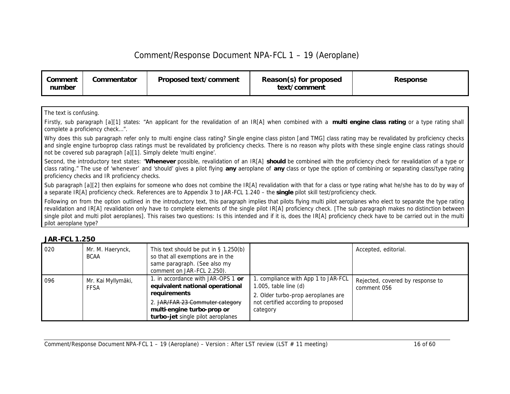| Comment<br>number | Commentator | Proposed text/comment | Reason(s) for proposed<br>text/comment | <b>Response</b> |
|-------------------|-------------|-----------------------|----------------------------------------|-----------------|
|-------------------|-------------|-----------------------|----------------------------------------|-----------------|

The text is confusing.

Firstly, sub paragraph [a][1] states: "An applicant for the revalidation of an IR[A] when combined with a **multi engine class rating** or a type rating shall complete a proficiency check…".

Why does this sub paragraph refer only to multi engine class rating? Single engine class piston [and TMG] class rating may be revalidated by proficiency checks and single engine turboprop class ratings must be revalidated by proficiency checks. There is no reason why pilots with these single engine class ratings should not be covered sub paragraph [a][1]. Simply delete 'multi engine'.

Second, the introductory text states: "**Whenever** possible, revalidation of an IR[A] **should** be combined with the proficiency check for revalidation of a type or class rating." The use of 'whenever' and 'should' gives a pilot flying **any** aeroplane of **any** class or type the option of combining or separating class/type rating proficiency checks and IR proficiency checks.

Sub paragraph [a][2] then explains for someone who does not combine the IR[A] revalidation with that for a class or type rating what he/she has to do by way of a separate IR[A] proficiency check. References are to Appendix 3 to JAR-FCL 1.240 – the **single** pilot skill test/proficiency check.

Following on from the option outlined in the introductory text, this paragraph implies that pilots flying multi pilot aeroplanes who elect to separate the type rating revalidation and IR[A] revalidation only have to complete elements of the single pilot IR[A] proficiency check. [The sub paragraph makes no distinction between single pilot and multi pilot aeroplanes]. This raises two questions: Is this intended and if it is, does the IR[A] proficiency check have to be carried out in the multi pilot aeroplane type?

| 020 | Mr. M. Haerynck,<br><b>BCAA</b>   | This text should be put in $\S$ 1.250(b)<br>so that all exemptions are in the<br>same paragraph. (See also my<br>comment on JAR-FCL 2.250).                                                 |                                                                                                                                                           | Accepted, editorial.                            |
|-----|-----------------------------------|---------------------------------------------------------------------------------------------------------------------------------------------------------------------------------------------|-----------------------------------------------------------------------------------------------------------------------------------------------------------|-------------------------------------------------|
| 096 | Mr. Kai Myllymäki,<br><b>FFSA</b> | 1. in accordance with JAR-OPS 1 or<br>equivalent national operational<br>requirements<br>2. JAR/FAR 23 Commuter category<br>multi-engine turbo-prop or<br>turbo-jet single pilot aeroplanes | . compliance with App 1 to JAR-FCL<br>$1.005$ , table line $(d)$<br>2. Older turbo-prop aeroplanes are<br>not certified according to proposed<br>category | Rejected, covered by response to<br>comment 056 |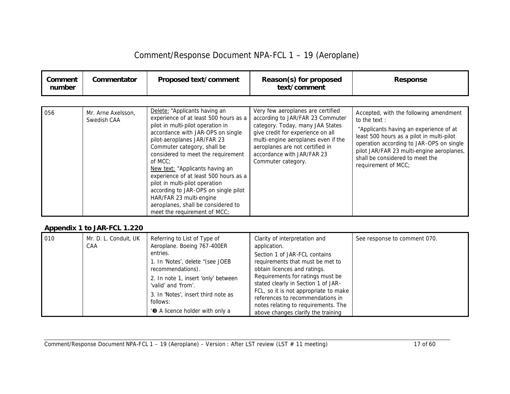| Comment<br>number | Commentator                       | Proposed text/comment                                                                                                                                                                                                                                                                                                                                                                                                                                                                                                  | Reason(s) for proposed<br>text/comment                                                                                                                                                                                                                                       | <b>Response</b>                                                                                                                                                                                                                                                                                  |
|-------------------|-----------------------------------|------------------------------------------------------------------------------------------------------------------------------------------------------------------------------------------------------------------------------------------------------------------------------------------------------------------------------------------------------------------------------------------------------------------------------------------------------------------------------------------------------------------------|------------------------------------------------------------------------------------------------------------------------------------------------------------------------------------------------------------------------------------------------------------------------------|--------------------------------------------------------------------------------------------------------------------------------------------------------------------------------------------------------------------------------------------------------------------------------------------------|
| 056               | Mr. Arne Axelsson,<br>Swedish CAA | Delete: "Applicants having an<br>experience of at least 500 hours as a<br>pilot in multi-pilot operation in<br>accordance with JAR-OPS on single<br>pilot-aeroplanes JAR/FAR 23<br>Commuter category, shall be<br>considered to meet the requirement<br>of MCC:<br>New text: "Applicants having an<br>experience of at least 500 hours as a<br>pilot in multi-pilot operation<br>according to JAR-OPS on single pilot<br>HAR/FAR 23 multi-engine<br>aeroplanes, shall be considered to<br>meet the requirement of MCC; | Very few aeroplanes are certified<br>according to JAR/FAR 23 Commuter<br>category. Today, many JAA States<br>give credit for experience on all<br>multi-engine aeroplanes even if the<br>aeroplanes are not certified in<br>accordance with JAR/FAR 23<br>Commuter category. | Accepted, with the following amendment<br>to the text:<br>"Applicants having an experience of at<br>least 500 hours as a pilot in multi-pilot<br>operation according to JAR-OPS on single<br>pilot JAR/FAR 23 multi-engine aeroplanes,<br>shall be considered to meet the<br>requirement of MCC; |

#### *Appendix 1 to JAR-FCL 1.220*

| 010 | Mr. D. L. Conduit, UK<br>CAA | Referring to List of Type of<br>Aeroplane. Boeing 767-400ER<br>entries.<br>1. In 'Notes', delete "(see JOEB<br>recommendations).<br>2. In note 1, insert 'only' between<br>'valid' and 'from'.<br>3. In 'Notes', insert third note as<br>follows: | Clarity of interpretation and<br>application.<br>Section 1 of JAR-FCL contains<br>requirements that must be met to<br>obtain licences and ratings.<br>Requirements for ratings must be<br>stated clearly in Section 1 of JAR-<br>FCL, so it is not appropriate to make<br>references to recommendations in<br>notes relating to requirements. The | See response to comment 070. |
|-----|------------------------------|---------------------------------------------------------------------------------------------------------------------------------------------------------------------------------------------------------------------------------------------------|---------------------------------------------------------------------------------------------------------------------------------------------------------------------------------------------------------------------------------------------------------------------------------------------------------------------------------------------------|------------------------------|
|     |                              | <b>6</b> A licence holder with only a                                                                                                                                                                                                             | above changes clarify the training                                                                                                                                                                                                                                                                                                                |                              |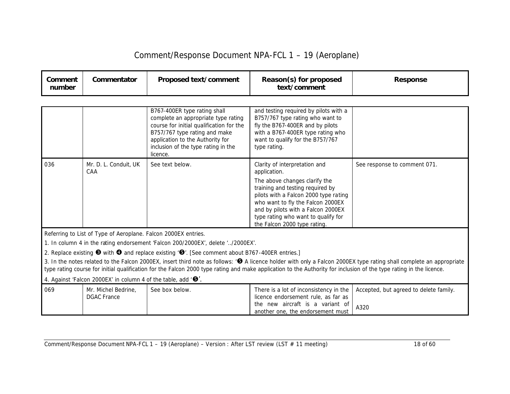| Comment/Response Document NPA-FCL 1 - 19 (Aeroplane) |  |  |
|------------------------------------------------------|--|--|
|------------------------------------------------------|--|--|

| Comment<br>number | Commentator                                                                     | Proposed text/comment                                                                                                                                                                                                                   | Reason(s) for proposed<br>text/comment                                                                                                                                                                 | <b>Response</b>                                                                                                                                                                 |
|-------------------|---------------------------------------------------------------------------------|-----------------------------------------------------------------------------------------------------------------------------------------------------------------------------------------------------------------------------------------|--------------------------------------------------------------------------------------------------------------------------------------------------------------------------------------------------------|---------------------------------------------------------------------------------------------------------------------------------------------------------------------------------|
|                   |                                                                                 |                                                                                                                                                                                                                                         |                                                                                                                                                                                                        |                                                                                                                                                                                 |
|                   |                                                                                 | B767-400ER type rating shall<br>complete an appropriate type rating<br>course for initial qualification for the<br>B757/767 type rating and make<br>application to the Authority for<br>inclusion of the type rating in the<br>licence. | and testing required by pilots with a<br>B757/767 type rating who want to<br>fly the B767-400ER and by pilots<br>with a B767-400ER type rating who<br>want to qualify for the B757/767<br>type rating. |                                                                                                                                                                                 |
| 036               | Mr. D. L. Conduit, UK<br>CAA                                                    | See text below.                                                                                                                                                                                                                         | Clarity of interpretation and<br>application.                                                                                                                                                          | See response to comment 071.                                                                                                                                                    |
|                   |                                                                                 |                                                                                                                                                                                                                                         | The above changes clarify the<br>training and testing required by<br>pilots with a Falcon 2000 type rating<br>who want to fly the Falcon 2000EX<br>and by pilots with a Falcon 2000EX                  |                                                                                                                                                                                 |
|                   |                                                                                 |                                                                                                                                                                                                                                         | type rating who want to qualify for<br>the Falcon 2000 type rating.                                                                                                                                    |                                                                                                                                                                                 |
|                   | Referring to List of Type of Aeroplane. Falcon 2000EX entries.                  |                                                                                                                                                                                                                                         |                                                                                                                                                                                                        |                                                                                                                                                                                 |
|                   |                                                                                 | 1. In column 4 in the rating endorsement 'Falcon 200/2000EX', delete '/2000EX'.                                                                                                                                                         |                                                                                                                                                                                                        |                                                                                                                                                                                 |
|                   |                                                                                 | 2. Replace existing $\bullet$ with $\bullet$ and replace existing ' $\bullet$ '. [See comment about B767-400ER entries.]                                                                                                                |                                                                                                                                                                                                        |                                                                                                                                                                                 |
|                   |                                                                                 |                                                                                                                                                                                                                                         | type rating course for initial qualification for the Falcon 2000 type rating and make application to the Authority for inclusion of the type rating in the licence.                                    | 3. In the notes related to the Falcon 2000EX, insert third note as follows: ' <sup>3</sup> A licence holder with only a Falcon 2000EX type rating shall complete an appropriate |
|                   | 4. Against 'Falcon 2000EX' in column 4 of the table, add ' $\mathbf{\Theta}'$ . |                                                                                                                                                                                                                                         |                                                                                                                                                                                                        |                                                                                                                                                                                 |
| 069               | Mr. Michel Bedrine,<br><b>DGAC</b> France                                       | See box below.                                                                                                                                                                                                                          | There is a lot of inconsistency in the<br>licence endorsement rule, as far as                                                                                                                          | Accepted, but agreed to delete family.                                                                                                                                          |
|                   |                                                                                 |                                                                                                                                                                                                                                         | the new aircraft is a variant of<br>another one, the endorsement must                                                                                                                                  | A320                                                                                                                                                                            |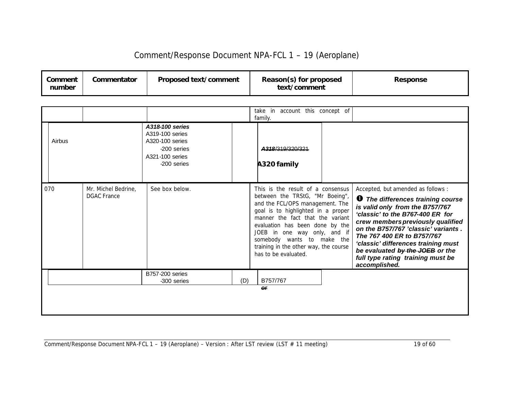| Comment<br>number | Commentator | Proposed text/comment | Reason(s) for proposed<br>text/comment | <b>Response</b> |
|-------------------|-------------|-----------------------|----------------------------------------|-----------------|
|-------------------|-------------|-----------------------|----------------------------------------|-----------------|

|        |                                           |                                                                                                        |     | take in account this concept of<br>family.                                                                                                                                                                                                                                                                                                          |                                                                                                                                                                                                                                                                                                                                                                                                 |
|--------|-------------------------------------------|--------------------------------------------------------------------------------------------------------|-----|-----------------------------------------------------------------------------------------------------------------------------------------------------------------------------------------------------------------------------------------------------------------------------------------------------------------------------------------------------|-------------------------------------------------------------------------------------------------------------------------------------------------------------------------------------------------------------------------------------------------------------------------------------------------------------------------------------------------------------------------------------------------|
| Airbus |                                           | A318-100 series<br>A319-100 series<br>A320-100 series<br>-200 series<br>A321-100 series<br>-200 series |     | A318/319/320/321<br>A320 family                                                                                                                                                                                                                                                                                                                     |                                                                                                                                                                                                                                                                                                                                                                                                 |
| 070    | Mr. Michel Bedrine,<br><b>DGAC France</b> | See box below.                                                                                         |     | This is the result of a consensus<br>between the TRStG, "Mr Boeing",<br>and the FCL/OPS management. The<br>goal is to highlighted in a proper<br>manner the fact that the variant<br>evaluation has been done by the<br>JOEB in one way only, and if<br>somebody wants to make the<br>training in the other way, the course<br>has to be evaluated. | Accepted, but amended as follows :<br><b>1</b> The differences training course<br>is valid only from the B757/767<br>'classic' to the B767-400 ER for<br>crew members previously qualified<br>on the B757/767 'classic' variants.<br>The 767 400 ER to B757/767<br>'classic' differences training must<br>be evaluated by the JOEB or the<br>full type rating training must be<br>accomplished. |
|        |                                           | <b>B757-200 series</b><br>-300 series                                                                  | (D) | B757/767                                                                                                                                                                                                                                                                                                                                            |                                                                                                                                                                                                                                                                                                                                                                                                 |
|        |                                           |                                                                                                        |     | or                                                                                                                                                                                                                                                                                                                                                  |                                                                                                                                                                                                                                                                                                                                                                                                 |
|        |                                           |                                                                                                        |     |                                                                                                                                                                                                                                                                                                                                                     |                                                                                                                                                                                                                                                                                                                                                                                                 |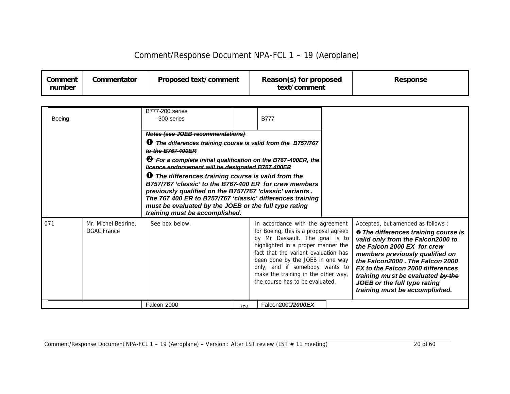| Comment<br>number | Commentator | <b>Proposed text/comment</b> | Reason(s) for proposed<br>text/comment | Response |
|-------------------|-------------|------------------------------|----------------------------------------|----------|
|-------------------|-------------|------------------------------|----------------------------------------|----------|

| <b>Boeing</b> |                                           | <b>B777-200 series</b><br>-300 series                                                                                                                                                                                                                                                                                                    |            | <b>B777</b>                                                                                                                                                                                                                                                                                                                               |                                                                                                                                                                                                                                                                                                                                                                              |
|---------------|-------------------------------------------|------------------------------------------------------------------------------------------------------------------------------------------------------------------------------------------------------------------------------------------------------------------------------------------------------------------------------------------|------------|-------------------------------------------------------------------------------------------------------------------------------------------------------------------------------------------------------------------------------------------------------------------------------------------------------------------------------------------|------------------------------------------------------------------------------------------------------------------------------------------------------------------------------------------------------------------------------------------------------------------------------------------------------------------------------------------------------------------------------|
|               |                                           | Notes (see JOEB recommendations)                                                                                                                                                                                                                                                                                                         |            |                                                                                                                                                                                                                                                                                                                                           |                                                                                                                                                                                                                                                                                                                                                                              |
|               |                                           | <b>1</b> The differences training course is valid from the B757/767<br>to the B767-400ER                                                                                                                                                                                                                                                 |            |                                                                                                                                                                                                                                                                                                                                           |                                                                                                                                                                                                                                                                                                                                                                              |
|               |                                           | <sup>8</sup> For a complete initial qualification on the B767-400ER, the<br>licence endorsement will be designated B767 400ER                                                                                                                                                                                                            |            |                                                                                                                                                                                                                                                                                                                                           |                                                                                                                                                                                                                                                                                                                                                                              |
|               |                                           | <b>O</b> The differences training course is valid from the<br>B757/767 'classic' to the B767-400 ER for crew members<br>previously qualified on the B757/767 'classic' variants.<br>The 767 400 ER to B757/767 'classic' differences training<br>must be evaluated by the JOEB or the full type rating<br>training must be accomplished. |            |                                                                                                                                                                                                                                                                                                                                           |                                                                                                                                                                                                                                                                                                                                                                              |
| 071           | Mr. Michel Bedrine,<br><b>DGAC France</b> | See box below.                                                                                                                                                                                                                                                                                                                           |            | In accordance with the agreement<br>for Boeing, this is a proposal agreed<br>by Mr Dassault. The goal is to<br>highlighted in a proper manner the<br>fact that the variant evaluation has<br>been done by the JOEB in one way<br>only, and if somebody wants to<br>make the training in the other way,<br>the course has to be evaluated. | Accepted, but amended as follows:<br><sup>®</sup> The differences training course is<br>valid only from the Falcon2000 to<br>the Falcon 2000 EX for crew<br>members previously qualified on<br>the Falcon2000 . The Falcon 2000<br>EX to the Falcon 2000 differences<br>training mu st be evaluated by the<br>JOEB or the full type rating<br>training must be accomplished. |
|               |                                           | Falcon 2000                                                                                                                                                                                                                                                                                                                              | $\sqrt{D}$ | Falcon2000/2000EX                                                                                                                                                                                                                                                                                                                         |                                                                                                                                                                                                                                                                                                                                                                              |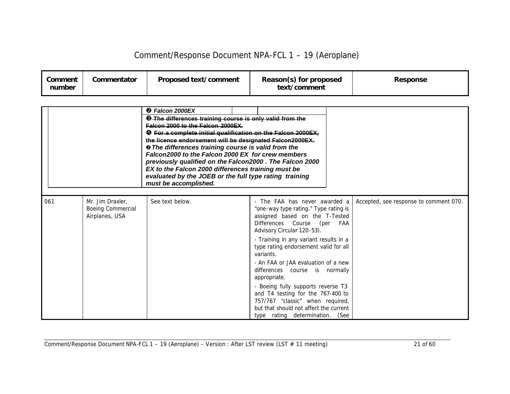| Comment<br>number | Commentator | Proposed text/comment | Reason(s) for proposed<br>text/comment | Response |
|-------------------|-------------|-----------------------|----------------------------------------|----------|
|-------------------|-------------|-----------------------|----------------------------------------|----------|

|     |                                                         | <b>@</b> Falcon 2000EX<br><b>O</b> The differences training course is only valid from the<br>Falcon 2000 to the Falcon 2000EX.<br><b>O</b> For a complete initial qualification on the Falcon 2000EX,<br>the licence endorsement will be designated Falcon2000EX.<br><b>@ The differences training course is valid from the</b><br>Falcon2000 to the Falcon 2000 EX for crew members<br>previously qualified on the Falcon2000. The Falcon 2000<br>EX to the Falcon 2000 differences training must be<br>evaluated by the JOEB or the full type rating training<br>must be accomplished. |                                                                                                                                                                                                                 |                                        |
|-----|---------------------------------------------------------|------------------------------------------------------------------------------------------------------------------------------------------------------------------------------------------------------------------------------------------------------------------------------------------------------------------------------------------------------------------------------------------------------------------------------------------------------------------------------------------------------------------------------------------------------------------------------------------|-----------------------------------------------------------------------------------------------------------------------------------------------------------------------------------------------------------------|----------------------------------------|
| 061 | Mr. Jim Draxler.<br>Boeing Commercial<br>Airplanes, USA | See text below.                                                                                                                                                                                                                                                                                                                                                                                                                                                                                                                                                                          | - The FAA has never awarded a<br>"one-way type rating." Type rating is<br>assigned based on the T-Tested<br>Differences Course (per FAA<br>Advisory Circular 120-53).<br>- Training in any variant results in a | Accepted, see response to comment 070. |
|     |                                                         |                                                                                                                                                                                                                                                                                                                                                                                                                                                                                                                                                                                          | type rating endorsement valid for all<br>variants.<br>- An FAA or JAA evaluation of a new<br>differences course is normally                                                                                     |                                        |
|     |                                                         |                                                                                                                                                                                                                                                                                                                                                                                                                                                                                                                                                                                          | appropriate.<br>- Boeing fully supports reverse T3                                                                                                                                                              |                                        |
|     |                                                         |                                                                                                                                                                                                                                                                                                                                                                                                                                                                                                                                                                                          | and T4 testing for the 767-400 to<br>757/767 "classic" when required,<br>but that should not affect the current                                                                                                 |                                        |
|     |                                                         |                                                                                                                                                                                                                                                                                                                                                                                                                                                                                                                                                                                          | type rating determination. (See                                                                                                                                                                                 |                                        |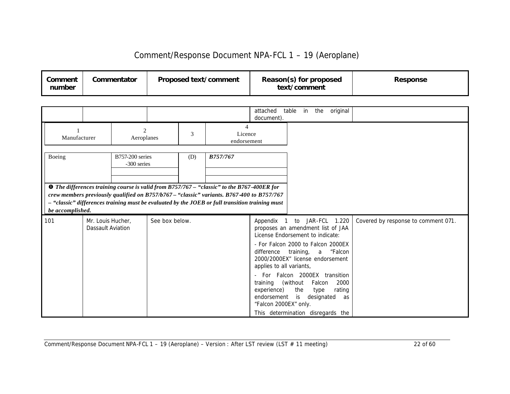| Comment<br>number | Commentator | Proposed text/comment | Reason(s) for proposed<br>text/comment | <b>Response</b> |
|-------------------|-------------|-----------------------|----------------------------------------|-----------------|
|-------------------|-------------|-----------------------|----------------------------------------|-----------------|

|                  |                                        |                                       |                |     |                                                                                                                                                                                                                                                                                                   | attached<br>document).                                                                                                  | table<br>in                    | original<br>the                                                                                                                                                                                                                               |                                     |
|------------------|----------------------------------------|---------------------------------------|----------------|-----|---------------------------------------------------------------------------------------------------------------------------------------------------------------------------------------------------------------------------------------------------------------------------------------------------|-------------------------------------------------------------------------------------------------------------------------|--------------------------------|-----------------------------------------------------------------------------------------------------------------------------------------------------------------------------------------------------------------------------------------------|-------------------------------------|
| Manufacturer     |                                        | $\overline{2}$<br>Aeroplanes          |                | 3   | Licence<br>endorsement                                                                                                                                                                                                                                                                            |                                                                                                                         |                                |                                                                                                                                                                                                                                               |                                     |
| Boeing           |                                        | <b>B757-200</b> series<br>-300 series |                | (D) | <b>B757/767</b>                                                                                                                                                                                                                                                                                   |                                                                                                                         |                                |                                                                                                                                                                                                                                               |                                     |
| be accomplished. |                                        |                                       |                |     | <b>O</b> The differences training course is valid from B757/767 - "classic" to the B767-400ER for<br>crew members previously qualified on B757/b767 - "classic" variants. B767-400 to B757/767<br>- "classic" differences training must be evaluated by the JOEB or full transition training must |                                                                                                                         |                                |                                                                                                                                                                                                                                               |                                     |
| 101              | Mr. Louis Hucher,<br>Dassault Aviation |                                       | See box below. |     |                                                                                                                                                                                                                                                                                                   | License Endorsement to indicate:<br>difference<br>applies to all variants,<br>training<br>experience)<br>endorsement is | training, a<br>(without<br>the | Appendix 1 to JAR-FCL 1.220<br>proposes an amendment list of JAA<br>- For Falcon 2000 to Falcon 2000EX<br>"Falcon<br>2000/2000EX" license endorsement<br>For Falcon 2000EX transition<br>Falcon<br>2000<br>rating<br>type<br>designated<br>as | Covered by response to comment 071. |
|                  |                                        |                                       |                |     |                                                                                                                                                                                                                                                                                                   | "Falcon 2000EX" only.                                                                                                   |                                | This determination disregards the                                                                                                                                                                                                             |                                     |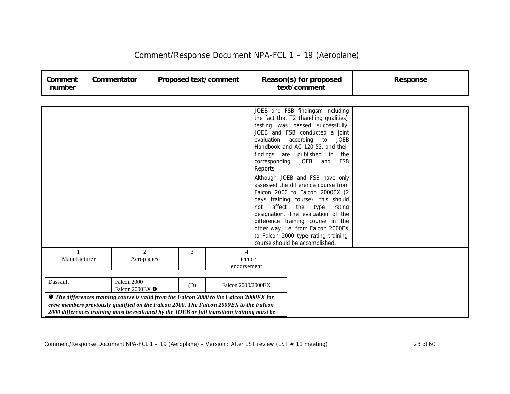| Comment<br>number | Commentator                               |     | Proposed text/comment                                                                                                                                                                |                                                          | Reason(s) for proposed<br>text/comment                                                                                                                                                                                                                                                                                                                                                                                                                                                                                                                                                                                                               | <b>Response</b> |
|-------------------|-------------------------------------------|-----|--------------------------------------------------------------------------------------------------------------------------------------------------------------------------------------|----------------------------------------------------------|------------------------------------------------------------------------------------------------------------------------------------------------------------------------------------------------------------------------------------------------------------------------------------------------------------------------------------------------------------------------------------------------------------------------------------------------------------------------------------------------------------------------------------------------------------------------------------------------------------------------------------------------------|-----------------|
|                   |                                           |     |                                                                                                                                                                                      |                                                          |                                                                                                                                                                                                                                                                                                                                                                                                                                                                                                                                                                                                                                                      |                 |
|                   |                                           |     |                                                                                                                                                                                      | evaluation<br>corresponding<br>Reports.<br>affect<br>not | JOEB and FSB findingsm including<br>the fact that T2 (handling qualities)<br>testing was passed successfully.<br>JOEB and FSB conducted a joint<br>according<br>to<br><b>JOEB</b><br>Handbook and AC 120-53, and their<br>findings are published in the<br>JOEB and<br><b>FSB</b><br>Although JOEB and FSB have only<br>assessed the difference course from<br>Falcon 2000 to Falcon 2000EX (2<br>days training course), this should<br>the type<br>rating<br>designation. The evaluation of the<br>difference training course in the<br>other way, i.e. from Falcon 2000EX<br>to Falcon 2000 type rating training<br>course should be accomplished. |                 |
| Manufacturer      | $\mathcal{D}_{\mathcal{L}}$<br>Aeroplanes | 3   | 4<br>Licence<br>endorsement                                                                                                                                                          |                                                          |                                                                                                                                                                                                                                                                                                                                                                                                                                                                                                                                                                                                                                                      |                 |
| Dassault          | Falcon 2000<br>Falcon 2000EX O            | (D) | Falcon 2000/2000EX<br><b>O</b> The differences training course is valid from the Falcon 2000 to the Falcon 2000EX for                                                                |                                                          |                                                                                                                                                                                                                                                                                                                                                                                                                                                                                                                                                                                                                                                      |                 |
|                   |                                           |     | crew members previously qualified on the Falcon 2000. The Falcon 2000EX to the Falcon<br>2000 differences training must be evaluated by the JOEB or full transition training must be |                                                          |                                                                                                                                                                                                                                                                                                                                                                                                                                                                                                                                                                                                                                                      |                 |

Comment/Response Document NPA-FCL 1 – 19 (Aeroplane) – Version : After LST review (LST # 11 meeting) 23 of 60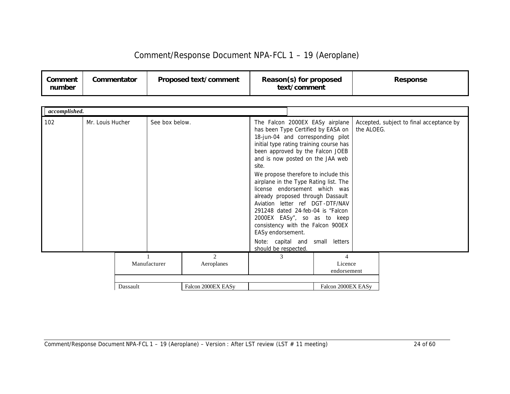| Comment/Response Document NPA-FCL 1 - 19 (Aeroplane) |  |  |
|------------------------------------------------------|--|--|
|------------------------------------------------------|--|--|

| Comment<br>number | Commentator | Proposed text/comment | Reason(s) for proposed<br>text/comment | <b>Response</b> |
|-------------------|-------------|-----------------------|----------------------------------------|-----------------|
|-------------------|-------------|-----------------------|----------------------------------------|-----------------|

| accomplished. |                  |          |                |                              |                                                    |                                                                                                                                                                                                                                                                                                                                                                                                                                                                                                                                                                     |            |                                          |
|---------------|------------------|----------|----------------|------------------------------|----------------------------------------------------|---------------------------------------------------------------------------------------------------------------------------------------------------------------------------------------------------------------------------------------------------------------------------------------------------------------------------------------------------------------------------------------------------------------------------------------------------------------------------------------------------------------------------------------------------------------------|------------|------------------------------------------|
| 102           | Mr. Louis Hucher |          | See box below. |                              | site.<br>EASy endorsement.<br>should be respected. | The Falcon 2000EX EASy airplane<br>has been Type Certified by EASA on<br>18-jun-04 and corresponding pilot<br>initial type rating training course has<br>been approved by the Falcon JOEB<br>and is now posted on the JAA web<br>We propose therefore to include this<br>airplane in the Type Rating list. The<br>license endorsement which was<br>already proposed through Dassault<br>Aviation letter ref DGT-DTF/NAV<br>291248 dated 24-feb-04 is "Falcon<br>2000EX EASy", so as to keep<br>consistency with the Falcon 900EX<br>Note: capital and small letters | the ALOEG. | Accepted, subject to final acceptance by |
|               |                  |          | Manufacturer   | $\mathfrak{D}$<br>Aeroplanes | 3                                                  | $\overline{4}$<br>Licence<br>endorsement                                                                                                                                                                                                                                                                                                                                                                                                                                                                                                                            |            |                                          |
|               |                  | Dassault |                | Falcon 2000EX EASy           |                                                    | Falcon 2000EX EASy                                                                                                                                                                                                                                                                                                                                                                                                                                                                                                                                                  |            |                                          |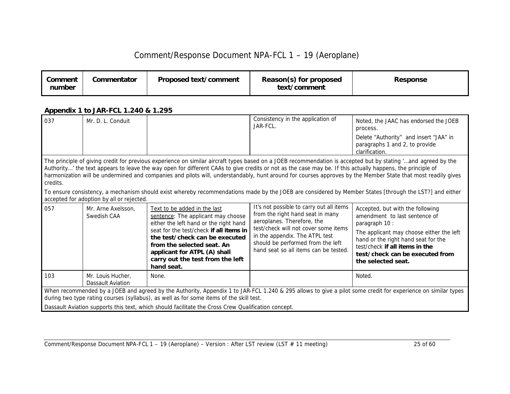| Comment<br>number | Commentator | Proposed text/comment | Reason(s) for proposed<br>text/comment | Response |
|-------------------|-------------|-----------------------|----------------------------------------|----------|
|-------------------|-------------|-----------------------|----------------------------------------|----------|

#### *Appendix 1 to JAR-FCL 1.240 & 1.295*

| 037                                                                                                                                                                                                                                                                                                                                                                                                                                                                                                                                                                                                                                                                                                            | Mr. D. L. Conduit                             |                                                                                                                                                                                                                                                                                                           | Consistency in the application of<br>JAR-FCL.                                                                                                                                                                                                                      | Noted, the JAAC has endorsed the JOEB<br>process.<br>Delete "Authority" and insert "JAA" in<br>paragraphs 1 and 2, to provide<br>clarification.                                                                                                                   |  |  |
|----------------------------------------------------------------------------------------------------------------------------------------------------------------------------------------------------------------------------------------------------------------------------------------------------------------------------------------------------------------------------------------------------------------------------------------------------------------------------------------------------------------------------------------------------------------------------------------------------------------------------------------------------------------------------------------------------------------|-----------------------------------------------|-----------------------------------------------------------------------------------------------------------------------------------------------------------------------------------------------------------------------------------------------------------------------------------------------------------|--------------------------------------------------------------------------------------------------------------------------------------------------------------------------------------------------------------------------------------------------------------------|-------------------------------------------------------------------------------------------------------------------------------------------------------------------------------------------------------------------------------------------------------------------|--|--|
| The principle of giving credit for previous experience on similar aircraft types based on a JOEB recommendation is accepted but by stating "and agreed by the<br>Authority' the text appears to leave the way open for different CAAs to give credits or not as the case may be. If this actually happens, the principle of<br>harmonization will be undermined and companies and pilots will, understandably, hunt around for courses approves by the Member State that most readily gives<br>credits.<br>To ensure consistency, a mechanism should exist whereby recommendations made by the JOEB are considered by Member States [through the LST?] and either<br>accepted for adoption by all or rejected. |                                               |                                                                                                                                                                                                                                                                                                           |                                                                                                                                                                                                                                                                    |                                                                                                                                                                                                                                                                   |  |  |
| 057                                                                                                                                                                                                                                                                                                                                                                                                                                                                                                                                                                                                                                                                                                            | Mr. Arne Axelsson,<br>Swedish CAA             | Text to be added in the last<br>sentence: The applicant may choose<br>either the left hand or the right hand<br>seat for the test/check if all items in<br>the test/check can be executed<br>from the selected seat. An<br>applicant for ATPL (A) shall<br>carry out the test from the left<br>hand seat. | It's not possible to carry out all items<br>from the right hand seat in many<br>aeroplanes. Therefore, the<br>test/check will not cover some items<br>in the appendix. The ATPL test<br>should be performed from the left<br>hand seat so all items can be tested. | Accepted, but with the following<br>amendment to last sentence of<br>paragraph 10 :<br>The applicant may choose either the left<br>hand or the right hand seat for the<br>test/check if all items in the<br>test/check can be executed from<br>the selected seat. |  |  |
| 103                                                                                                                                                                                                                                                                                                                                                                                                                                                                                                                                                                                                                                                                                                            | Mr. Louis Hucher,<br><b>Dassault Aviation</b> | None.                                                                                                                                                                                                                                                                                                     |                                                                                                                                                                                                                                                                    | Noted.                                                                                                                                                                                                                                                            |  |  |
| When recommended by a JOEB and agreed by the Authority, Appendix 1 to JAR-FCL 1.240 & 295 allows to give a pilot some credit for experience on similar types<br>during two type rating courses (syllabus), as well as for some items of the skill test.<br>Dassault Aviation supports this text, which should facilitate the Cross Crew Qualification concept.                                                                                                                                                                                                                                                                                                                                                 |                                               |                                                                                                                                                                                                                                                                                                           |                                                                                                                                                                                                                                                                    |                                                                                                                                                                                                                                                                   |  |  |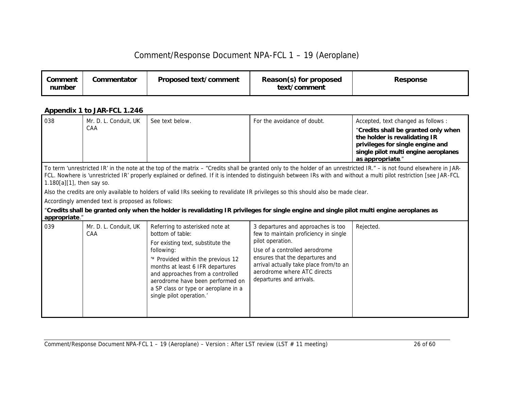| Comment<br>number | Commentator | Proposed text/comment | Reason(s) for proposed<br>text/comment | <b>Response</b> |
|-------------------|-------------|-----------------------|----------------------------------------|-----------------|
|-------------------|-------------|-----------------------|----------------------------------------|-----------------|

### *Appendix 1 to JAR-FCL 1.246*

| 038 | CAA                                                                                                                                                                                                                                                                                                                                                                                                                                                                                                                                                                                                                                                                                                                                      | Mr. D. L. Conduit, UK | See text below.                                                                                                                                                                                                                                                                                                              | For the avoidance of doubt.                                                                                                                                                                                                                                              | Accepted, text changed as follows:<br>"Credits shall be granted only when<br>the holder is revalidating IR<br>privileges for single engine and<br>single pilot multi engine aeroplanes<br>as appropriate." |  |  |
|-----|------------------------------------------------------------------------------------------------------------------------------------------------------------------------------------------------------------------------------------------------------------------------------------------------------------------------------------------------------------------------------------------------------------------------------------------------------------------------------------------------------------------------------------------------------------------------------------------------------------------------------------------------------------------------------------------------------------------------------------------|-----------------------|------------------------------------------------------------------------------------------------------------------------------------------------------------------------------------------------------------------------------------------------------------------------------------------------------------------------------|--------------------------------------------------------------------------------------------------------------------------------------------------------------------------------------------------------------------------------------------------------------------------|------------------------------------------------------------------------------------------------------------------------------------------------------------------------------------------------------------|--|--|
|     | To term 'unrestricted IR' in the note at the top of the matrix - "Credits shall be granted only to the holder of an unrestricted IR." - is not found elsewhere in JAR-<br>FCL. Nowhere is 'unrestricted IR' properly explained or defined. If it is intended to distinguish between IRs with and without a multi pilot restriction [see JAR-FCL<br>$1.180[a][1]$ , then say so.<br>Also the credits are only available to holders of valid IRs seeking to revalidate IR privileges so this should also be made clear.<br>Accordingly amended text is proposed as follows:<br>"Credits shall be granted only when the holder is revalidating IR privileges for single engine and single pilot multi engine aeroplanes as<br>appropriate." |                       |                                                                                                                                                                                                                                                                                                                              |                                                                                                                                                                                                                                                                          |                                                                                                                                                                                                            |  |  |
| 039 | CAA                                                                                                                                                                                                                                                                                                                                                                                                                                                                                                                                                                                                                                                                                                                                      | Mr. D. L. Conduit, UK | Referring to asterisked note at<br>bottom of table:<br>For existing text, substitute the<br>following:<br>'* Provided within the previous 12<br>months at least 6 IFR departures<br>and approaches from a controlled<br>aerodrome have been performed on<br>a SP class or type or aeroplane in a<br>single pilot operation.' | 3 departures and approaches is too<br>few to maintain proficiency in single<br>pilot operation.<br>Use of a controlled aerodrome<br>ensures that the departures and<br>arrival actually take place from/to an<br>aerodrome where ATC directs<br>departures and arrivals. | Rejected.                                                                                                                                                                                                  |  |  |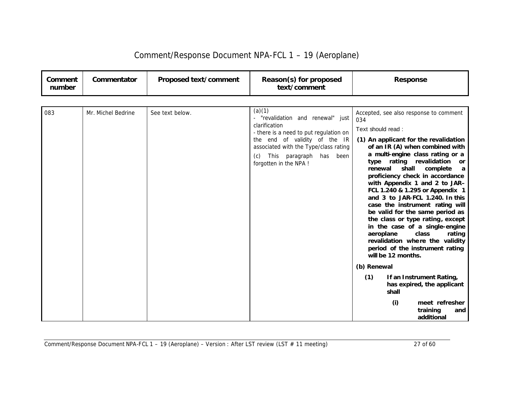| Comment<br>number | Commentator        | Proposed text/comment | Reason(s) for proposed<br>text/comment                                                                                                                                                                                                       | <b>Response</b>                                                                                                                                                                                                                                                                                                                                                                                                                                                                                                                                                                                                                                                                                                                                                                               |
|-------------------|--------------------|-----------------------|----------------------------------------------------------------------------------------------------------------------------------------------------------------------------------------------------------------------------------------------|-----------------------------------------------------------------------------------------------------------------------------------------------------------------------------------------------------------------------------------------------------------------------------------------------------------------------------------------------------------------------------------------------------------------------------------------------------------------------------------------------------------------------------------------------------------------------------------------------------------------------------------------------------------------------------------------------------------------------------------------------------------------------------------------------|
| 083               | Mr. Michel Bedrine | See text below.       | (a)(1)<br>- "revalidation and renewal" just<br>clarification<br>- there is a need to put regulation on<br>the end of validity of the IR<br>associated with the Type/class rating<br>This paragraph has been<br>(c)<br>forgotten in the NPA ! | Accepted, see also response to comment<br>034<br>Text should read:<br>(1) An applicant for the revalidation<br>of an IR (A) when combined with<br>a multi-engine class rating or a<br>type rating revalidation<br>or<br>renewal<br>shall<br>complete<br>a<br>proficiency check in accordance<br>with Appendix 1 and 2 to JAR-<br>FCL 1.240 & 1.295 or Appendix 1<br>and 3 to JAR-FCL 1.240. In this<br>case the instrument rating will<br>be valid for the same period as<br>the class or type rating, except<br>in the case of a single-engine<br>aeroplane<br>class<br>rating<br>revalidation where the validity<br>period of the instrument rating<br>will be 12 months.<br>(b) Renewal<br>(1)<br>If an Instrument Rating,<br>has expired, the applicant<br>shall<br>meet refresher<br>(i) |
|                   |                    |                       |                                                                                                                                                                                                                                              | training<br>and<br>additional                                                                                                                                                                                                                                                                                                                                                                                                                                                                                                                                                                                                                                                                                                                                                                 |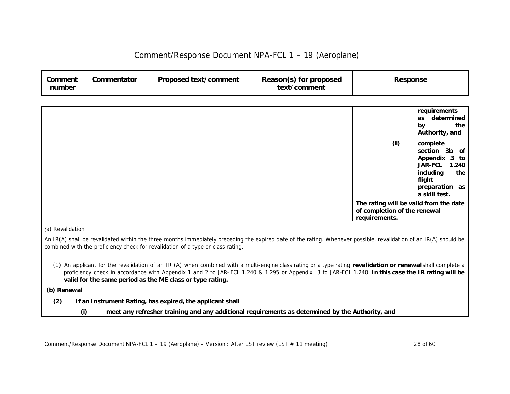| Comment<br>number | Commentator | Proposed text/comment | Reason(s) for proposed<br>text/comment | <b>Response</b> |
|-------------------|-------------|-----------------------|----------------------------------------|-----------------|
|-------------------|-------------|-----------------------|----------------------------------------|-----------------|

|  |  | requirements<br>as<br>by<br>Authority, and                                                               | determined<br>the |
|--|--|----------------------------------------------------------------------------------------------------------|-------------------|
|  |  | (ii)<br>complete<br>section 3b of<br>Appendix 3 to<br>JAR-FCL<br>including<br>flight<br>preparation as   | 1.240<br>the      |
|  |  | a skill test.<br>The rating will be valid from the date<br>of completion of the renewal<br>requirements. |                   |

*(a) Revalidation*

*An IR(A) shall be revalidated within the three months immediately preceding the expired date of the rating. Whenever possible, revalidation of an IR(A) should be combined with the proficiency check for revalidation of a type or class rating.* 

*(1) An applicant for the revalidation of an IR (A) when combined with a multi-engine class rating or a type rating revalidation or renewal shall complete a*  proficiency check in accordance with Appendix 1 and 2 to JAR–FCL 1.240 & 1.295 or Appendix 3 to JAR-FCL 1.240. In this case the IR rating will be *valid for the same period as the ME class or type rating.*

 *(b) Renewal*

- *(2) If an Instrument Rating, has expired, the applicant shall* 
	- *(i) meet any refresher training and any additional requirements as determined by the Authority, and*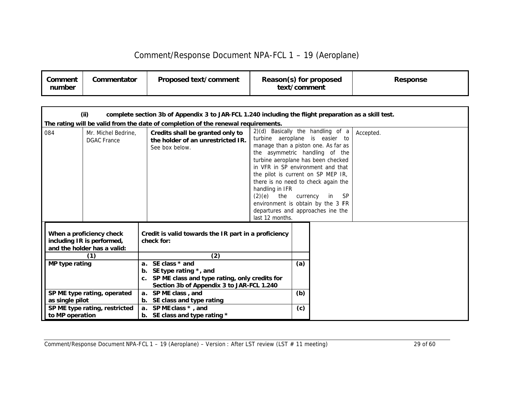| Comment/Response Document NPA-FCL 1 - 19 (Aeroplane) |  |  |
|------------------------------------------------------|--|--|
|------------------------------------------------------|--|--|

| Comment<br>number | Commentator | Proposed text/comment | Reason(s) for proposed<br>text/comment | Response |
|-------------------|-------------|-----------------------|----------------------------------------|----------|
|-------------------|-------------|-----------------------|----------------------------------------|----------|

| (ii)<br>complete section 3b of Appendix 3 to JAR-FCL 1.240 including the flight preparation as a skill test. |                                                                                       |                                                                                                                                                        |                                                                                                                                                                                                                                                                                                                                                                                                                                                                      |     |  |           |  |
|--------------------------------------------------------------------------------------------------------------|---------------------------------------------------------------------------------------|--------------------------------------------------------------------------------------------------------------------------------------------------------|----------------------------------------------------------------------------------------------------------------------------------------------------------------------------------------------------------------------------------------------------------------------------------------------------------------------------------------------------------------------------------------------------------------------------------------------------------------------|-----|--|-----------|--|
|                                                                                                              |                                                                                       | The rating will be valid from the date of completion of the renewal requirements.                                                                      |                                                                                                                                                                                                                                                                                                                                                                                                                                                                      |     |  |           |  |
| 084                                                                                                          | Mr. Michel Bedrine.<br><b>DGAC France</b>                                             | Credits shall be granted only to<br>the holder of an unrestricted IR.<br>See box below.                                                                | 2)(d) Basically the handling of a<br>turbine aeroplane is easier to<br>manage than a piston one. As far as<br>the asymmetric handling of the<br>turbine aeroplane has been checked<br>in VFR in SP environment and that<br>the pilot is current on SP MEP IR,<br>there is no need to check again the<br>handling in IFR<br>(2)(e)<br>the<br><b>SP</b><br>in<br>currency<br>environment is obtain by the 3 FR<br>departures and approaches ine the<br>last 12 months. |     |  | Accepted. |  |
|                                                                                                              | When a proficiency check<br>including IR is performed,<br>and the holder has a valid: | Credit is valid towards the IR part in a proficiency<br>check for:                                                                                     |                                                                                                                                                                                                                                                                                                                                                                                                                                                                      |     |  |           |  |
|                                                                                                              | (1)                                                                                   | (2)                                                                                                                                                    |                                                                                                                                                                                                                                                                                                                                                                                                                                                                      |     |  |           |  |
| MP type rating                                                                                               |                                                                                       | a. SE class $*$ and<br>SE type rating $*$ , and<br>b.<br>c. SP ME class and type rating, only credits for<br>Section 3b of Appendix 3 to JAR-FCL 1.240 |                                                                                                                                                                                                                                                                                                                                                                                                                                                                      | (a) |  |           |  |
|                                                                                                              | SP ME type rating, operated                                                           | a. SP ME class, and                                                                                                                                    |                                                                                                                                                                                                                                                                                                                                                                                                                                                                      | (b) |  |           |  |
| as single pilot                                                                                              |                                                                                       | b. SE class and type rating                                                                                                                            |                                                                                                                                                                                                                                                                                                                                                                                                                                                                      |     |  |           |  |
| to MP operation                                                                                              | SP ME type rating, restricted                                                         | a. SP ME class *, and<br>b. SE class and type rating *                                                                                                 |                                                                                                                                                                                                                                                                                                                                                                                                                                                                      | (c) |  |           |  |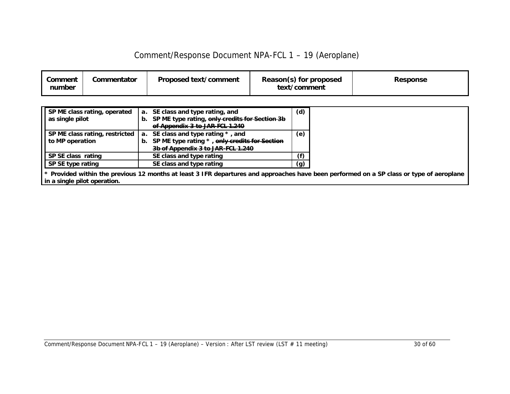| Comment<br>number | Commentator | Proposed text/comment | Reason(s) for proposed<br>text/comment | Response |
|-------------------|-------------|-----------------------|----------------------------------------|----------|
|-------------------|-------------|-----------------------|----------------------------------------|----------|

| SP ME class rating, operated | a. SE class and type rating, and                                       | (d) |
|------------------------------|------------------------------------------------------------------------|-----|
| as single pilot              | b. SP ME type rating, only credits for Section 3b                      |     |
|                              | of Appendix 3 to JAR-FCL 1.240                                         |     |
|                              | SP ME class rating, restricted   a. SE class and type rating $*$ , and | (e) |
| to MP operation              | b. SP ME type rating *, only credits for Section                       |     |
|                              | 3b of Appendix 3 to JAR-FCL 1.240                                      |     |
| SP SE class rating           | SE class and type rating                                               |     |
| SP SE type rating            | SE class and type rating                                               | (g) |

*\* Provided within the previous 12 months at least 3 IFR departures and approaches have been performed on a SP class or type of aeroplane in a single pilot operation.*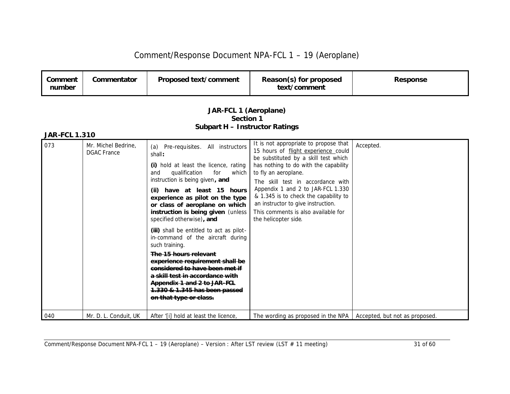| Comment/Response Document NPA-FCL 1 - 19 (Aeroplane) |  |  |
|------------------------------------------------------|--|--|
|------------------------------------------------------|--|--|

| Comment<br>number | Commentator                                                                                         | Proposed text/comment                                                                                                                                                                                                                                                                                                                                                                                                                                                                                                                                                                                                                                                     | Reason(s) for proposed<br>text/comment                                                                                                                                                                                                                                                                                                                                                                        | <b>Response</b>                |  |  |  |  |
|-------------------|-----------------------------------------------------------------------------------------------------|---------------------------------------------------------------------------------------------------------------------------------------------------------------------------------------------------------------------------------------------------------------------------------------------------------------------------------------------------------------------------------------------------------------------------------------------------------------------------------------------------------------------------------------------------------------------------------------------------------------------------------------------------------------------------|---------------------------------------------------------------------------------------------------------------------------------------------------------------------------------------------------------------------------------------------------------------------------------------------------------------------------------------------------------------------------------------------------------------|--------------------------------|--|--|--|--|
|                   | JAR-FCL 1 (Aeroplane)<br>Section 1<br><b>Subpart H - Instructor Ratings</b><br><b>JAR-FCL 1.310</b> |                                                                                                                                                                                                                                                                                                                                                                                                                                                                                                                                                                                                                                                                           |                                                                                                                                                                                                                                                                                                                                                                                                               |                                |  |  |  |  |
| 073               | Mr. Michel Bedrine.<br><b>DGAC</b> France                                                           | Pre-requisites. All instructors<br>(a)<br>shall:<br>(i) hold at least the licence, rating<br>qualification<br>which<br>and<br>for<br>instruction is being given, and<br>(ii) have at least 15 hours<br>experience as pilot on the type<br>or class of aeroplane on which<br>instruction is being given (unless<br>specified otherwise), and<br>(iii) shall be entitled to act as pilot-<br>in-command of the aircraft during<br>such training.<br>The 15 hours relevant<br>experience requirement shall be<br>considered to have been met if<br>a skill test in accordance with<br>Appendix 1 and 2 to JAR-FGL<br>1.330 & 1.345 has been passed<br>on that type or class. | It is not appropriate to propose that<br>15 hours of flight experience could<br>be substituted by a skill test which<br>has nothing to do with the capability<br>to fly an aeroplane.<br>The skill test in accordance with<br>Appendix 1 and 2 to JAR-FCL 1.330<br>& 1.345 is to check the capability to<br>an instructor to give instruction.<br>This comments is also available for<br>the helicopter side. | Accepted.                      |  |  |  |  |
| 040               | Mr. D. L. Conduit, UK                                                                               | After '[i] hold at least the licence,                                                                                                                                                                                                                                                                                                                                                                                                                                                                                                                                                                                                                                     | The wording as proposed in the NPA                                                                                                                                                                                                                                                                                                                                                                            | Accepted, but not as proposed. |  |  |  |  |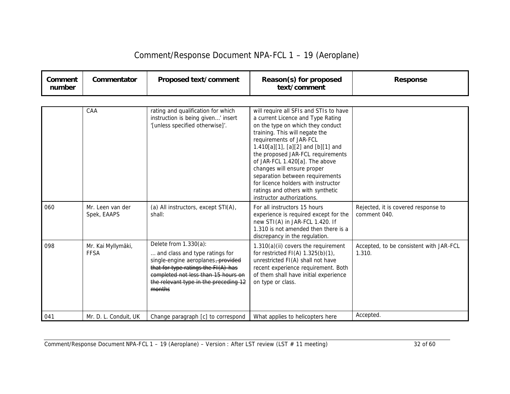| Comment<br>number | Commentator                       | Proposed text/comment                                                                                                                                                                                                          | Reason(s) for proposed<br>text/comment                                                                                                                                                                                                                                                                                                                                                                                                                                | <b>Response</b>                                     |
|-------------------|-----------------------------------|--------------------------------------------------------------------------------------------------------------------------------------------------------------------------------------------------------------------------------|-----------------------------------------------------------------------------------------------------------------------------------------------------------------------------------------------------------------------------------------------------------------------------------------------------------------------------------------------------------------------------------------------------------------------------------------------------------------------|-----------------------------------------------------|
|                   |                                   |                                                                                                                                                                                                                                |                                                                                                                                                                                                                                                                                                                                                                                                                                                                       |                                                     |
|                   | CAA                               | rating and qualification for which<br>instruction is being given' insert<br>'[unless specified otherwise]'.                                                                                                                    | will require all SFIs and STIs to have<br>a current Licence and Type Rating<br>on the type on which they conduct<br>training. This will negate the<br>requirements of JAR-FCL<br>1.410[a][1], [a][2] and [b][1] and<br>the proposed JAR-FCL requirements<br>of JAR-FCL 1.420[a]. The above<br>changes will ensure proper<br>separation between requirements<br>for licence holders with instructor<br>ratings and others with synthetic<br>instructor authorizations. |                                                     |
| 060               | Mr. Leen van der<br>Spek, EAAPS   | (a) All instructors, except STI(A),<br>shall:                                                                                                                                                                                  | For all instructors 15 hours<br>experience is required except for the<br>new STI(A) in JAR-FCL 1.420. If<br>1.310 is not amended then there is a<br>discrepancy in the regulation.                                                                                                                                                                                                                                                                                    | Rejected, it is covered response to<br>comment 040. |
| 098               | Mr. Kai Myllymäki,<br><b>FFSA</b> | Delete from 1.330(a):<br>and class and type ratings for<br>single-engine aeroplanes, provided<br>that for type ratings the FI(A) has<br>completed not less than 15 hours on<br>the relevant type in the preceding 12<br>months | $1.310(a)(ii)$ covers the requirement<br>for restricted $FI(A)$ 1.325(b)(1),<br>unrestricted FI(A) shall not have<br>recent experience requirement. Both<br>of them shall have initial experience<br>on type or class.                                                                                                                                                                                                                                                | Accepted, to be consistent with JAR-FCL<br>1.310.   |
| 041               | Mr. D. L. Conduit, UK             | Change paragraph [c] to correspond                                                                                                                                                                                             | What applies to helicopters here                                                                                                                                                                                                                                                                                                                                                                                                                                      | Accepted.                                           |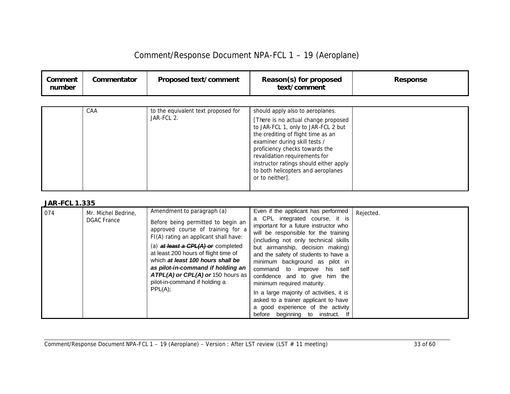| Comment<br>number | Commentator | Proposed text/comment                             | Reason(s) for proposed<br>text/comment                                                                                                                                                                                                    | <b>Response</b> |
|-------------------|-------------|---------------------------------------------------|-------------------------------------------------------------------------------------------------------------------------------------------------------------------------------------------------------------------------------------------|-----------------|
|                   | CAA         | to the equivalent text proposed for<br>JAR-FCL 2. | should apply also to aeroplanes.<br>[There is no actual change proposed<br>to JAR-FCL 1, only to JAR-FCL 2 but                                                                                                                            |                 |
|                   |             |                                                   | the crediting of flight time as an<br>examiner during skill tests /<br>proficiency checks towards the<br>revalidation requirements for<br>instructor ratings should either apply<br>to both helicopters and aeroplanes<br>or to neither]. |                 |
|                   |             |                                                   |                                                                                                                                                                                                                                           |                 |

| 074 | Mr. Michel Bedrine,<br><b>DGAC</b> France | Amendment to paragraph (a)<br>Before being permitted to begin an<br>approved course of training for a<br>FI(A) rating an applicant shall have:<br>(a) at least a $CPL(A)$ or completed<br>at least 200 hours of flight time of<br>which at least 100 hours shall be<br>as pilot-in-command if holding an<br>$ATPL(A)$ or CPL $(A)$ or 150 hours as<br>pilot-in-command if holding a<br>$PPL(A)$ : | Even if the applicant has performed<br>a CPL integrated course, it is<br>important for a future instructor who<br>will be responsible for the training<br>(including not only technical skills<br>but airmanship, decision making)<br>and the safety of students to have a<br>minimum background as pilot in<br>command to improve his self<br>confidence and to give him the<br>minimum required maturity.<br>In a large majority of activities, it is<br>asked to a trainer applicant to have<br>a good experience of the activity | Rejected. |
|-----|-------------------------------------------|---------------------------------------------------------------------------------------------------------------------------------------------------------------------------------------------------------------------------------------------------------------------------------------------------------------------------------------------------------------------------------------------------|--------------------------------------------------------------------------------------------------------------------------------------------------------------------------------------------------------------------------------------------------------------------------------------------------------------------------------------------------------------------------------------------------------------------------------------------------------------------------------------------------------------------------------------|-----------|
|     |                                           |                                                                                                                                                                                                                                                                                                                                                                                                   | beginning to instruct.<br>before                                                                                                                                                                                                                                                                                                                                                                                                                                                                                                     |           |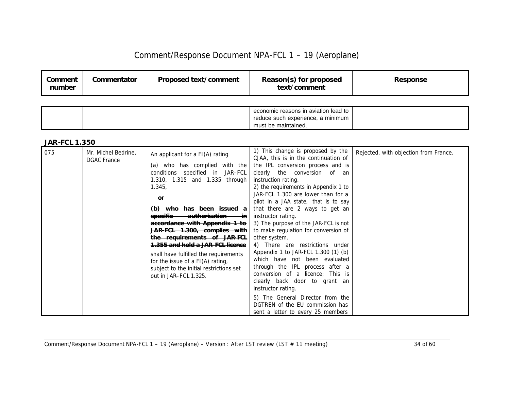| Comment<br>number | Commentator | Proposed text/comment | Reason(s) for proposed<br>text/comment | <b>Response</b> |
|-------------------|-------------|-----------------------|----------------------------------------|-----------------|
|                   |             |                       |                                        |                 |

|  | economic reasons in aviation lead to<br>reduce such experience, a minimum |  |
|--|---------------------------------------------------------------------------|--|
|  | must be maintained.                                                       |  |

| 075 | Mr. Michel Bedrine,<br><b>DGAC</b> France | An applicant for a FI(A) rating          | 1) This change is proposed by the<br>CJAA, this is in the continuation of | Rejected, with objection from France. |
|-----|-------------------------------------------|------------------------------------------|---------------------------------------------------------------------------|---------------------------------------|
|     |                                           | (a) who has complied with the            | the IPL conversion process and is                                         |                                       |
|     |                                           | conditions specified in JAR-FCL          | clearly the conversion of an                                              |                                       |
|     |                                           | 1.310, 1.315 and 1.335 through           | instruction rating.                                                       |                                       |
|     |                                           | 1.345.                                   | 2) the requirements in Appendix 1 to                                      |                                       |
|     |                                           | <b>or</b>                                | JAR-FCL 1.300 are lower than for a                                        |                                       |
|     |                                           |                                          | pilot in a JAA state, that is to say                                      |                                       |
|     |                                           | (b) who has been issued a                | that there are 2 ways to get an                                           |                                       |
|     |                                           | <del>authorisation in</del><br>specific- | instructor rating.                                                        |                                       |
|     |                                           | accordance with Appendix 1 to            | 3) The purpose of the JAR-FCL is not                                      |                                       |
|     |                                           | JAR-FCL 1.300, complies with             | to make regulation for conversion of                                      |                                       |
|     |                                           | the requirements of JAR-FCL              | other system.                                                             |                                       |
|     |                                           | 1.355 and hold a JAR-FCL licence         | 4) There are restrictions under                                           |                                       |
|     |                                           | shall have fulfilled the requirements    | Appendix 1 to JAR-FCL 1.300 (1) (b)                                       |                                       |
|     |                                           | for the issue of a $FI(A)$ rating,       | which have not been evaluated                                             |                                       |
|     |                                           | subject to the initial restrictions set  | through the IPL process after a                                           |                                       |
|     |                                           | out in JAR-FCL 1.325.                    | conversion of a licence; This is                                          |                                       |
|     |                                           |                                          | clearly back door to grant an                                             |                                       |
|     |                                           |                                          | instructor rating.                                                        |                                       |
|     |                                           |                                          | 5) The General Director from the                                          |                                       |
|     |                                           |                                          | DGTREN of the EU commission has                                           |                                       |
|     |                                           |                                          | sent a letter to every 25 members                                         |                                       |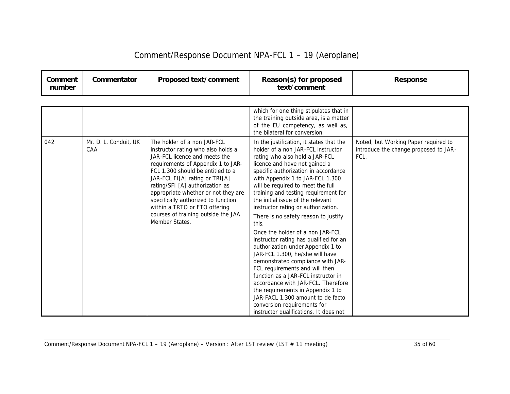| Comment/Response Document NPA-FCL 1 - 19 (Aeroplane) |  |  |
|------------------------------------------------------|--|--|
|------------------------------------------------------|--|--|

| Comment<br>number | Commentator | Proposed text/comment | Reason(s) for proposed<br>text/comment | Response |
|-------------------|-------------|-----------------------|----------------------------------------|----------|
|-------------------|-------------|-----------------------|----------------------------------------|----------|

|     |                              |                                                                                                                                                                                                                                                                                                                                                                                                                            | which for one thing stipulates that in<br>the training outside area, is a matter<br>of the EU competency, as well as,<br>the bilateral for conversion.                                                                                                                                                                                                                                                                                                                                                                                                                                                                                                                                                                                                                                                                                                                                               |                                                                                       |
|-----|------------------------------|----------------------------------------------------------------------------------------------------------------------------------------------------------------------------------------------------------------------------------------------------------------------------------------------------------------------------------------------------------------------------------------------------------------------------|------------------------------------------------------------------------------------------------------------------------------------------------------------------------------------------------------------------------------------------------------------------------------------------------------------------------------------------------------------------------------------------------------------------------------------------------------------------------------------------------------------------------------------------------------------------------------------------------------------------------------------------------------------------------------------------------------------------------------------------------------------------------------------------------------------------------------------------------------------------------------------------------------|---------------------------------------------------------------------------------------|
| 042 | Mr. D. L. Conduit, UK<br>CAA | The holder of a non JAR-FCL<br>instructor rating who also holds a<br>JAR-FCL licence and meets the<br>requirements of Appendix 1 to JAR-<br>FCL 1.300 should be entitled to a<br>JAR-FCL FI[A] rating or TRI[A]<br>rating/SFI [A] authorization as<br>appropriate whether or not they are<br>specifically authorized to function<br>within a TRTO or FTO offering<br>courses of training outside the JAA<br>Member States. | In the justification, it states that the<br>holder of a non JAR-FCL instructor<br>rating who also hold a JAR-FCL<br>licence and have not gained a<br>specific authorization in accordance<br>with Appendix 1 to JAR-FCL 1.300<br>will be required to meet the full<br>training and testing requirement for<br>the initial issue of the relevant<br>instructor rating or authorization.<br>There is no safety reason to justify<br>this.<br>Once the holder of a non JAR-FCL<br>instructor rating has qualified for an<br>authorization under Appendix 1 to<br>JAR-FCL 1.300, he/she will have<br>demonstrated compliance with JAR-<br>FCL requirements and will then<br>function as a JAR-FCL instructor in<br>accordance with JAR-FCL. Therefore<br>the requirements in Appendix 1 to<br>JAR-FACL 1.300 amount to de facto<br>conversion requirements for<br>instructor qualifications. It does not | Noted, but Working Paper required to<br>introduce the change proposed to JAR-<br>FCL. |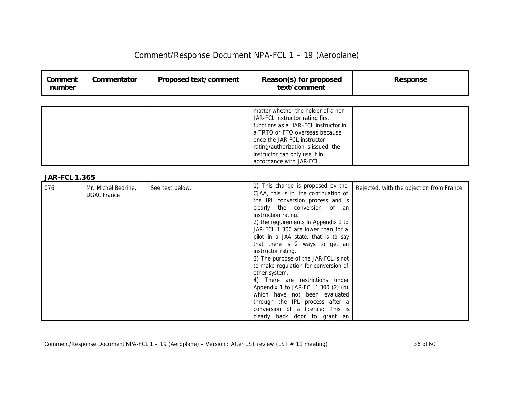| Comment/Response Document NPA-FCL 1 - 19 (Aeroplane) |  |  |
|------------------------------------------------------|--|--|
|------------------------------------------------------|--|--|

| Comment<br>number    | Commentator                               | Proposed text/comment | Reason(s) for proposed<br>text/comment                                                                                                                                                                                                                                                                                                                                                                                                                                                                                                                                                                                                                                  | <b>Response</b>                           |
|----------------------|-------------------------------------------|-----------------------|-------------------------------------------------------------------------------------------------------------------------------------------------------------------------------------------------------------------------------------------------------------------------------------------------------------------------------------------------------------------------------------------------------------------------------------------------------------------------------------------------------------------------------------------------------------------------------------------------------------------------------------------------------------------------|-------------------------------------------|
|                      |                                           |                       |                                                                                                                                                                                                                                                                                                                                                                                                                                                                                                                                                                                                                                                                         |                                           |
|                      |                                           |                       | matter whether the holder of a non<br>JAR-FCL instructor rating first<br>functions as a HAR-FCL instructor in<br>a TRTO or FTO overseas because<br>once the JAR-FCL instructor<br>rating/authorization is issued, the<br>instructor can only use it in<br>accordance with JAR-FCL.                                                                                                                                                                                                                                                                                                                                                                                      |                                           |
| <b>JAR-FCL 1.365</b> |                                           |                       |                                                                                                                                                                                                                                                                                                                                                                                                                                                                                                                                                                                                                                                                         |                                           |
| 076                  | Mr. Michel Bedrine,<br><b>DGAC</b> France | See text below.       | 1) This change is proposed by the<br>CJAA, this is in the continuation of<br>the IPL conversion process and is<br>clearly the conversion of an<br>instruction rating.<br>2) the requirements in Appendix 1 to<br>JAR-FCL 1.300 are lower than for a<br>pilot in a JAA state, that is to say<br>that there is 2 ways to get an<br>instructor rating.<br>3) The purpose of the JAR-FCL is not<br>to make regulation for conversion of<br>other system.<br>4) There are restrictions under<br>Appendix 1 to JAR-FCL 1.300 (2) (b)<br>which have not been evaluated<br>through the IPL process after a<br>conversion of a licence; This is<br>clearly back door to grant an | Rejected, with the objection from France. |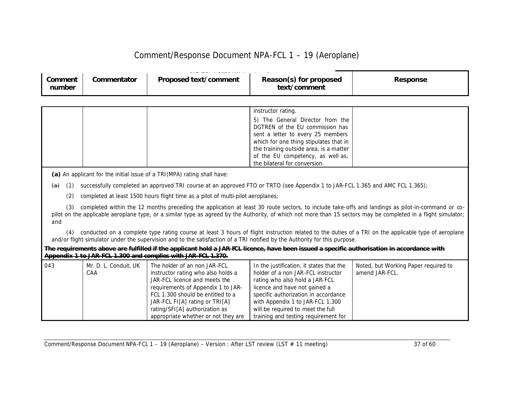| _____<br>Commentator<br>Proposed text/comment<br>Comment<br>number | Reason(s) for proposed<br>text/comment | <b>Response</b> |
|--------------------------------------------------------------------|----------------------------------------|-----------------|
|--------------------------------------------------------------------|----------------------------------------|-----------------|

|  | instructor rating.                     |  |
|--|----------------------------------------|--|
|  | 5) The General Director from the       |  |
|  | DGTREN of the EU commission has        |  |
|  | sent a letter to every 25 members      |  |
|  | which for one thing stipulates that in |  |
|  | the training outside area, is a matter |  |
|  | of the EU competency, as well as,      |  |
|  | the bilateral for conversion.          |  |

*(a)* An applicant for the initial issue of a TRI(MPA) rating shall have:

 $\overline{a}$  (1) successfully completed an approved TRI course at an approved FTO or TRTO (see Appendix 1 to JAR-FCL 1.365 and AMC FCL 1.365);

(2) completed at least 1500 hours flight time as a pilot of multi-pilot aeroplanes;

(3) completed within the 12 months preceding the application at least 30 route sectors, to include take-offs and landings as pilot-in-command or copilot on the applicable aeroplane type, or a similar type as agreed by the Authority, of which not more than 15 sectors may be completed in a flight simulator; and

(4) conducted on a complete type rating course at least 3 hours of flight instruction related to the duties of a TRI on the applicable type of aeroplane and/or flight simulator under the supervision and to the satisfaction of a TRI notified by the Authority for this purpose.

| The requirements above are fulfilled if the applicant hold a JAR-FCL licence, have been issued a specific authorisation in accordance with |  |  |
|--------------------------------------------------------------------------------------------------------------------------------------------|--|--|
| Appendix 1 to JAR-FCL 1.300 and complies with JAR-FCL 1.370.                                                                               |  |  |

| 043 | Mr. D. L. Conduit, UK | The holder of an non JAR-FCL        | In the justification, it states that the | Noted, but Working Paper required to |
|-----|-----------------------|-------------------------------------|------------------------------------------|--------------------------------------|
|     | CAA                   | instructor rating who also holds a  | holder of a non JAR-FCL instructor       | amend JAR-FCL.                       |
|     |                       | JAR-FCL licence and meets the       | rating who also hold a JAR-FCL           |                                      |
|     |                       | requirements of Appendix 1 to JAR-  | licence and have not gained a            |                                      |
|     |                       | FCL 1.300 should be entitled to a   | specific authorization in accordance     |                                      |
|     |                       | JAR-FCL FI[A] rating or TRI[A]      | with Appendix 1 to JAR-FCL 1.300         |                                      |
|     |                       | rating/SFI[A] authorization as      | will be required to meet the full        |                                      |
|     |                       | appropriate whether or not they are | training and testing requirement for     |                                      |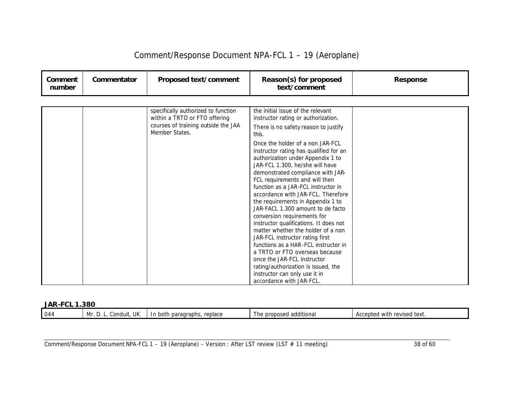| Comment<br>number | Commentator | Proposed text/comment                                                                                       | Reason(s) for proposed<br>text/comment                                                                                                                                                                                                                                                                                                                                                                                                                                                                                                                                     | <b>Response</b> |
|-------------------|-------------|-------------------------------------------------------------------------------------------------------------|----------------------------------------------------------------------------------------------------------------------------------------------------------------------------------------------------------------------------------------------------------------------------------------------------------------------------------------------------------------------------------------------------------------------------------------------------------------------------------------------------------------------------------------------------------------------------|-----------------|
|                   |             |                                                                                                             |                                                                                                                                                                                                                                                                                                                                                                                                                                                                                                                                                                            |                 |
|                   |             | specifically authorized to function<br>within a TRTO or FTO offering<br>courses of training outside the JAA | the initial issue of the relevant<br>instructor rating or authorization.<br>There is no safety reason to justify                                                                                                                                                                                                                                                                                                                                                                                                                                                           |                 |
|                   |             |                                                                                                             | this.                                                                                                                                                                                                                                                                                                                                                                                                                                                                                                                                                                      |                 |
|                   |             | Member States.                                                                                              | Once the holder of a non JAR-FCL<br>instructor rating has qualified for an<br>authorization under Appendix 1 to<br>JAR-FCL 1.300, he/she will have<br>demonstrated compliance with JAR-<br>FCL requirements and will then<br>function as a JAR-FCL instructor in<br>accordance with JAR-FCL. Therefore<br>the requirements in Appendix 1 to<br>JAR-FACL 1.300 amount to de facto<br>conversion requirements for<br>instructor qualifications. It does not<br>matter whether the holder of a non<br>JAR-FCL instructor rating first<br>functions as a HAR-FCL instructor in |                 |
|                   |             |                                                                                                             | a TRTO or FTO overseas because<br>once the JAR-FCL instructor<br>rating/authorization is issued, the                                                                                                                                                                                                                                                                                                                                                                                                                                                                       |                 |
|                   |             |                                                                                                             | instructor can only use it in<br>accordance with JAR-FCL.                                                                                                                                                                                                                                                                                                                                                                                                                                                                                                                  |                 |

#### *JAR-FCL 1.380*

| 044 | UK.<br>. .<br>`ond.<br>n Ar<br>.duit<br>IVII<br>. | roplace<br>uuraphs m<br>u paragro<br>both<br>. н.<br>ندندا<br>,,,,,,, | .<br>∍ nr∩n∩ser'<br>additional<br>' n∠<br>. <i>.</i> . <i>.</i> .<br>יי י | text.<br>– Accepteu<br>revised<br>with |
|-----|---------------------------------------------------|-----------------------------------------------------------------------|---------------------------------------------------------------------------|----------------------------------------|
|     |                                                   |                                                                       |                                                                           |                                        |

Comment/Response Document NPA-FCL 1 – 19 (Aeroplane) – Version : After LST review (LST # 11 meeting) 38 of 60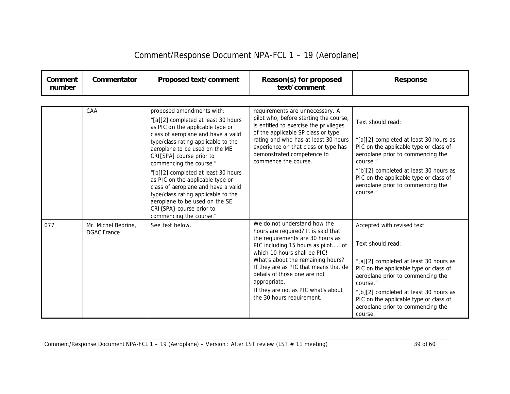| Comment<br>number | Commentator                               | Proposed text/comment                                                                                                                                                                                                                                                                                                                                                                                                                                                                                                         | Reason(s) for proposed<br>text/comment                                                                                                                                                                                                                                                                                                                                          | <b>Response</b>                                                                                                                                                                                                                                                                                                            |
|-------------------|-------------------------------------------|-------------------------------------------------------------------------------------------------------------------------------------------------------------------------------------------------------------------------------------------------------------------------------------------------------------------------------------------------------------------------------------------------------------------------------------------------------------------------------------------------------------------------------|---------------------------------------------------------------------------------------------------------------------------------------------------------------------------------------------------------------------------------------------------------------------------------------------------------------------------------------------------------------------------------|----------------------------------------------------------------------------------------------------------------------------------------------------------------------------------------------------------------------------------------------------------------------------------------------------------------------------|
|                   |                                           |                                                                                                                                                                                                                                                                                                                                                                                                                                                                                                                               |                                                                                                                                                                                                                                                                                                                                                                                 |                                                                                                                                                                                                                                                                                                                            |
|                   | CAA                                       | proposed amendments with:<br>"[a][2] completed at least 30 hours<br>as PIC on the applicable type or<br>class of aeroplane and have a valid<br>type/class rating applicable to the<br>aeroplane to be used on the ME<br>CRI[SPA] course prior to<br>commencing the course."<br>"[b][2] completed at least 30 hours<br>as PIC on the applicable type or<br>class of aeroplane and have a valid<br>type/class rating applicable to the<br>aeroplane to be used on the SE<br>CRI{SPA} course prior to<br>commencing the course." | requirements are unnecessary. A<br>pilot who, before starting the course,<br>is entitled to exercise the privileges<br>of the applicable SP class or type<br>rating and who has at least 30 hours<br>experience on that class or type has<br>demonstrated competence to<br>commence the course.                                                                                 | Text should read:<br>"[a][2] completed at least 30 hours as<br>PIC on the applicable type or class of<br>aeroplane prior to commencing the<br>course."<br>"[b][2] completed at least 30 hours as<br>PIC on the applicable type or class of<br>aeroplane prior to commencing the<br>course."                                |
| 077               | Mr. Michel Bedrine,<br><b>DGAC France</b> | See text below.                                                                                                                                                                                                                                                                                                                                                                                                                                                                                                               | We do not understand how the<br>hours are required? It is said that<br>the requirements are 30 hours as<br>PIC including 15 hours as pilot of<br>which 10 hours shall be PIC!<br>What's about the remaining hours?<br>If they are as PIC that means that de<br>details of those one are not<br>appropriate.<br>If they are not as PIC what's about<br>the 30 hours requirement. | Accepted with revised text.<br>Text should read:<br>"[a][2] completed at least 30 hours as<br>PIC on the applicable type or class of<br>aeroplane prior to commencing the<br>course."<br>"[b][2] completed at least 30 hours as<br>PIC on the applicable type or class of<br>aeroplane prior to commencing the<br>course." |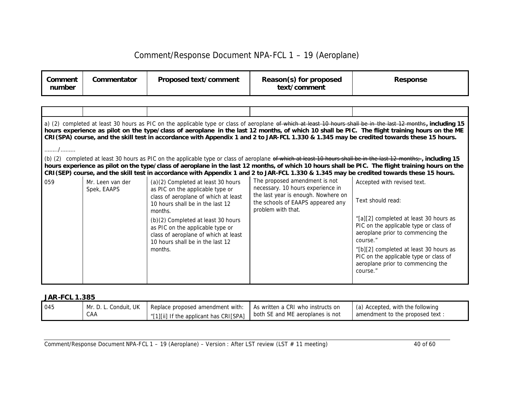| Comment<br>number | Commentator                     | Proposed text/comment                                                                                                                                         | Reason(s) for proposed<br>text/comment                                                                                                                               | <b>Response</b>                                                                                                                                                                                                                                                                                                                                                                                                                                                   |
|-------------------|---------------------------------|---------------------------------------------------------------------------------------------------------------------------------------------------------------|----------------------------------------------------------------------------------------------------------------------------------------------------------------------|-------------------------------------------------------------------------------------------------------------------------------------------------------------------------------------------------------------------------------------------------------------------------------------------------------------------------------------------------------------------------------------------------------------------------------------------------------------------|
|                   |                                 |                                                                                                                                                               |                                                                                                                                                                      |                                                                                                                                                                                                                                                                                                                                                                                                                                                                   |
|                   |                                 |                                                                                                                                                               |                                                                                                                                                                      |                                                                                                                                                                                                                                                                                                                                                                                                                                                                   |
|                   |                                 |                                                                                                                                                               |                                                                                                                                                                      | a) (2) completed at least 30 hours as PIC on the applicable type or class of aeroplane of which at least 10 hours shall be in the last 12 months, including 15<br>hours experience as pilot on the type/class of aeroplane in the last 12 months, of which 10 shall be PIC. The flight training hours on the ME<br>CRI(SPA) course, and the skill test in accordance with Appendix 1 and 2 to JAR-FCL 1.330 & 1.345 may be credited towards these 15 hours.       |
| . /               |                                 |                                                                                                                                                               |                                                                                                                                                                      |                                                                                                                                                                                                                                                                                                                                                                                                                                                                   |
|                   |                                 |                                                                                                                                                               |                                                                                                                                                                      | (b) (2) completed at least 30 hours as PIC on the applicable type or class of aeroplane of which at least 10 hours shall be in the last 12 months; , including 15<br>hours experience as pilot on the type/class of aeroplane in the last 12 months, of which 10 hours shall be PIC. The flight training hours on the<br>CRI(SEP) course, and the skill test in accordance with Appendix 1 and 2 to JAR-FCL 1.330 & 1.345 may be credited towards these 15 hours. |
| 059               | Mr. Leen van der<br>Spek, EAAPS | (a)(2) Completed at least 30 hours<br>as PIC on the applicable type or<br>class of aeroplane of which at least<br>10 hours shall be in the last 12<br>months. | The proposed amendment is not<br>necessary. 10 hours experience in<br>the last year is enough. Nowhere on<br>the schools of EAAPS appeared any<br>problem with that. | Accepted with revised text.<br>Text should read:                                                                                                                                                                                                                                                                                                                                                                                                                  |
|                   |                                 | (b)(2) Completed at least 30 hours<br>as PIC on the applicable type or<br>class of aeroplane of which at least<br>10 hours shall be in the last 12            |                                                                                                                                                                      | "[a][2] completed at least 30 hours as<br>PIC on the applicable type or class of<br>aeroplane prior to commencing the<br>course."                                                                                                                                                                                                                                                                                                                                 |
|                   |                                 | months.                                                                                                                                                       |                                                                                                                                                                      | "[b][2] completed at least 30 hours as<br>PIC on the applicable type or class of<br>aeroplane prior to commencing the<br>course."                                                                                                                                                                                                                                                                                                                                 |

#### *JAR-FCL 1.385*

| 045 | Mr. D. L. Conduit, UK | Replace proposed amendment with:                                                    | As written a CRI who instructs on | (a) Accepted, with the following |
|-----|-----------------------|-------------------------------------------------------------------------------------|-----------------------------------|----------------------------------|
|     | CAA                   | I "[1][ii] If the applicant has CRI[SPA]   both SE and ME aeroplanes is not in all. |                                   | amendment to the proposed text:  |

Comment/Response Document NPA-FCL 1 – 19 (Aeroplane) – Version : After LST review (LST # 11 meeting) 40 of 60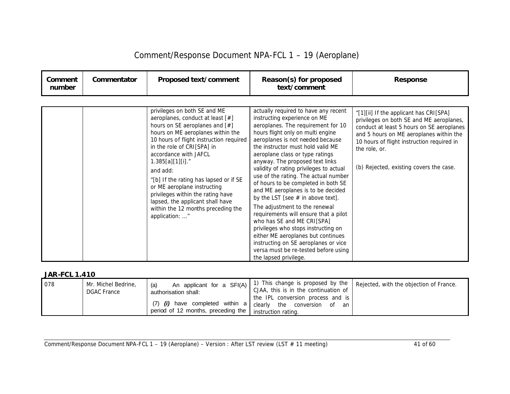| Comment<br>number | Commentator | Proposed text/comment                                                                                                                                                                                                                                                                                                  | Reason(s) for proposed<br>text/comment                                                                                                                                                                                                                                                                                                                                                                                   | <b>Response</b>                                                                                                                                                                                                                                                                      |
|-------------------|-------------|------------------------------------------------------------------------------------------------------------------------------------------------------------------------------------------------------------------------------------------------------------------------------------------------------------------------|--------------------------------------------------------------------------------------------------------------------------------------------------------------------------------------------------------------------------------------------------------------------------------------------------------------------------------------------------------------------------------------------------------------------------|--------------------------------------------------------------------------------------------------------------------------------------------------------------------------------------------------------------------------------------------------------------------------------------|
|                   |             | privileges on both SE and ME<br>aeroplanes, conduct at least [#]<br>hours on SE aeroplanes and [#]<br>hours on ME aeroplanes within the<br>10 hours of flight instruction required<br>in the role of CRI[SPA] in<br>accordance with JAFCL<br>$1.385[a][1][i]$ ."<br>and add:<br>"[b] If the rating has lapsed or if SE | actually required to have any recent<br>instructing experience on ME<br>aeroplanes. The requirement for 10<br>hours flight only on multi engine<br>aeroplanes is not needed because<br>the instructor must hold valid ME<br>aeroplane class or type ratings<br>anyway. The proposed text links<br>validity of rating privileges to actual<br>use of the rating. The actual number<br>of hours to be completed in both SE | "[1][ii] If the applicant has CRI[SPA]<br>privileges on both SE and ME aeroplanes,<br>conduct at least 5 hours on SE aeroplanes<br>and 5 hours on ME aeroplanes within the<br>10 hours of flight instruction required in<br>the role, or.<br>(b) Rejected, existing covers the case. |
|                   |             | or ME aeroplane instructing<br>privileges within the rating have<br>lapsed, the applicant shall have<br>within the 12 months preceding the<br>application: "                                                                                                                                                           | and ME aeroplanes is to be decided<br>by the LST [see $#$ in above text].<br>The adjustment to the renewal<br>requirements will ensure that a pilot<br>who has SE and ME CRI[SPA]<br>privileges who stops instructing on<br>either ME aeroplanes but continues<br>instructing on SE aeroplanes or vice<br>versa must be re-tested before using<br>the lapsed privilege.                                                  |                                                                                                                                                                                                                                                                                      |

| 078 | Mr. Michel Bedrine,<br><b>DGAC France</b> | An applicant for a SFI(A)<br>authorisation shall:                       | CJAA, this is in the continuation of<br>the IPL conversion process and is | .) This change is proposed by the   Rejected, with the objection of France. |
|-----|-------------------------------------------|-------------------------------------------------------------------------|---------------------------------------------------------------------------|-----------------------------------------------------------------------------|
|     |                                           | $(7)$ (i) have completed within a<br>period of 12 months, preceding the | clearly the<br>conversion<br>of<br>an<br>instruction rating.              |                                                                             |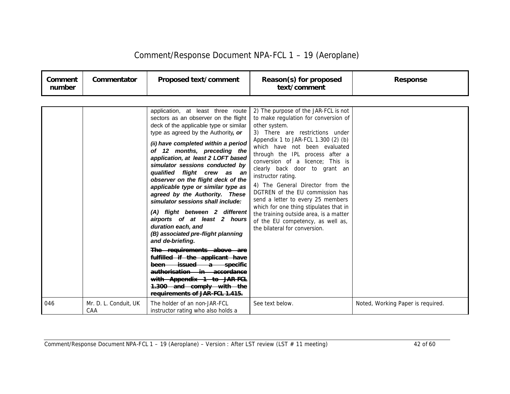| Comment/Response Document NPA-FCL 1 - 19 (Aeroplane) |  |  |  |
|------------------------------------------------------|--|--|--|
|------------------------------------------------------|--|--|--|

| Comment<br>number | Commentator                  | Proposed text/comment                                                                                                                                                                                                                                                                                                                                                                                                                                                                                                                                                                                                                                                                                                                                                                                 | Reason(s) for proposed<br>text/comment                                                                                                                                                                                                                                                                                                                                                                                                                                                                                                                                                                       | <b>Response</b>                   |
|-------------------|------------------------------|-------------------------------------------------------------------------------------------------------------------------------------------------------------------------------------------------------------------------------------------------------------------------------------------------------------------------------------------------------------------------------------------------------------------------------------------------------------------------------------------------------------------------------------------------------------------------------------------------------------------------------------------------------------------------------------------------------------------------------------------------------------------------------------------------------|--------------------------------------------------------------------------------------------------------------------------------------------------------------------------------------------------------------------------------------------------------------------------------------------------------------------------------------------------------------------------------------------------------------------------------------------------------------------------------------------------------------------------------------------------------------------------------------------------------------|-----------------------------------|
|                   |                              | application, at least three route<br>sectors as an observer on the flight<br>deck of the applicable type or similar<br>type as agreed by the Authority, or<br>(ii) have completed within a period<br>of 12 months, preceding the<br>application, at least 2 LOFT based<br>simulator sessions conducted by<br>qualified flight crew as an<br>observer on the flight deck of the<br>applicable type or similar type as<br>agreed by the Authority. These<br>simulator sessions shall include:<br>(A) flight between 2 different<br>airports of at least 2 hours<br>duration each, and<br>(B) associated pre-flight planning<br>and de-briefing.<br>The requirements above are<br>fulfilled if the applicant have<br>been issued a specific<br>authorisation in accordance<br>with Appendix 1 to JAR-FCL | 2) The purpose of the JAR-FCL is not<br>to make regulation for conversion of<br>other system.<br>3) There are restrictions under<br>Appendix 1 to JAR-FCL 1.300 (2) (b)<br>which have not been evaluated<br>through the IPL process after a<br>conversion of a licence; This is<br>clearly back door to grant an<br>instructor rating.<br>4) The General Director from the<br>DGTREN of the EU commission has<br>send a letter to every 25 members<br>which for one thing stipulates that in<br>the training outside area, is a matter<br>of the EU competency, as well as,<br>the bilateral for conversion. |                                   |
| 046               | Mr. D. L. Conduit, UK<br>CAA | 1.300 and comply with the<br>requirements of JAR-FCL 1.415.<br>The holder of an non-JAR-FCL<br>instructor rating who also holds a                                                                                                                                                                                                                                                                                                                                                                                                                                                                                                                                                                                                                                                                     | See text below.                                                                                                                                                                                                                                                                                                                                                                                                                                                                                                                                                                                              | Noted, Working Paper is required. |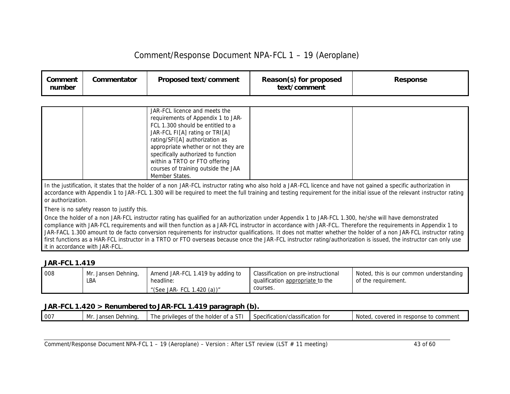| Comment<br>number                          | Commentator                                                                                                                                                                                                                                                                                                                                                       | Proposed text/comment                                                                                                                                                                                                                                                                                                                                | Reason(s) for proposed<br>text/comment | <b>Response</b>                                                                                                                                                                                                                                                                                                                                                                                                                                                                                       |  |  |  |  |
|--------------------------------------------|-------------------------------------------------------------------------------------------------------------------------------------------------------------------------------------------------------------------------------------------------------------------------------------------------------------------------------------------------------------------|------------------------------------------------------------------------------------------------------------------------------------------------------------------------------------------------------------------------------------------------------------------------------------------------------------------------------------------------------|----------------------------------------|-------------------------------------------------------------------------------------------------------------------------------------------------------------------------------------------------------------------------------------------------------------------------------------------------------------------------------------------------------------------------------------------------------------------------------------------------------------------------------------------------------|--|--|--|--|
|                                            |                                                                                                                                                                                                                                                                                                                                                                   |                                                                                                                                                                                                                                                                                                                                                      |                                        |                                                                                                                                                                                                                                                                                                                                                                                                                                                                                                       |  |  |  |  |
|                                            |                                                                                                                                                                                                                                                                                                                                                                   | JAR-FCL licence and meets the<br>requirements of Appendix 1 to JAR-<br>FCL 1.300 should be entitled to a<br>JAR-FCL FI[A] rating or TRI[A]<br>rating/SFI[A] authorization as<br>appropriate whether or not they are<br>specifically authorized to function<br>within a TRTO or FTO offering<br>courses of training outside the JAA<br>Member States. |                                        |                                                                                                                                                                                                                                                                                                                                                                                                                                                                                                       |  |  |  |  |
|                                            | In the justification, it states that the holder of a non JAR-FCL instructor rating who also hold a JAR-FCL licence and have not gained a specific authorization in<br>accordance with Appendix 1 to JAR-FCL 1.300 will be required to meet the full training and testing requirement for the initial issue of the relevant instructor rating<br>or authorization. |                                                                                                                                                                                                                                                                                                                                                      |                                        |                                                                                                                                                                                                                                                                                                                                                                                                                                                                                                       |  |  |  |  |
| There is no safety reason to justify this. |                                                                                                                                                                                                                                                                                                                                                                   |                                                                                                                                                                                                                                                                                                                                                      |                                        |                                                                                                                                                                                                                                                                                                                                                                                                                                                                                                       |  |  |  |  |
|                                            | it in accordance with JAR-FCL.                                                                                                                                                                                                                                                                                                                                    | Once the holder of a non JAR-FCL instructor rating has qualified for an authorization under Appendix 1 to JAR-FCL 1.300, he/she will have demonstrated                                                                                                                                                                                               |                                        | compliance with JAR-FCL requirements and will then function as a JAR-FCL instructor in accordance with JAR-FCL. Therefore the requirements in Appendix 1 to<br>JAR-FACL 1.300 amount to de facto conversion requirements for instructor qualifications. It does not matter whether the holder of a non JAR-FCL instructor rating<br>first functions as a HAR-FCL instructor in a TRTO or FTO overseas because once the JAR-FCL instructor rating/authorization is issued, the instructor can only use |  |  |  |  |

#### *JAR-FCL 1.419*

| 008 | Mr. Jansen Dehning, | Amend JAR-FCL 1.419 by adding to | Classification on pre-instructional | Noted, this is our common understanding |
|-----|---------------------|----------------------------------|-------------------------------------|-----------------------------------------|
|     | LBA                 | headline:                        | qualification appropriate to the    | of the requirement.                     |
|     |                     | "(See JAR- FCL 1.420 (a))"       | courses.                            |                                         |

### *JAR-FCL 1.420 > Renumbered to JAR-FCL 1.419 paragraph (b).*

|  | 007 | Dehnina.<br>Mr<br>Janser | $\sim$<br>$\sim$ of the .<br>The privileges<br>holder of a<br>. ט<br>. | $\cdots$<br>Specification/classification for | response to comment<br>Notea.<br>covered in |
|--|-----|--------------------------|------------------------------------------------------------------------|----------------------------------------------|---------------------------------------------|
|--|-----|--------------------------|------------------------------------------------------------------------|----------------------------------------------|---------------------------------------------|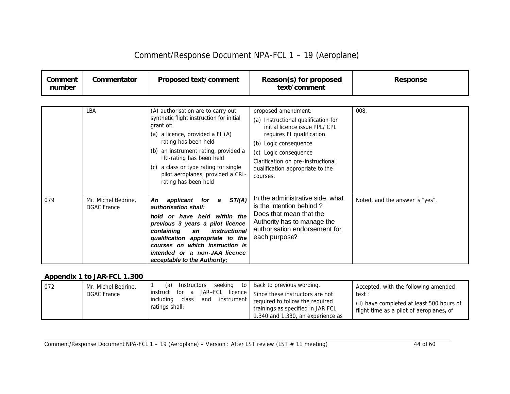| Comment/Response Document NPA-FCL 1 - 19 (Aeroplane) |  |
|------------------------------------------------------|--|
|                                                      |  |

| Comment<br>number | Commentator                               | Proposed text/comment                                                                                                                                                                                                                                                                                                                                                 | Reason(s) for proposed<br>text/comment                                                                                                                                                                                                                | <b>Response</b>                 |
|-------------------|-------------------------------------------|-----------------------------------------------------------------------------------------------------------------------------------------------------------------------------------------------------------------------------------------------------------------------------------------------------------------------------------------------------------------------|-------------------------------------------------------------------------------------------------------------------------------------------------------------------------------------------------------------------------------------------------------|---------------------------------|
|                   | LBA                                       | (A) authorisation are to carry out<br>synthetic flight instruction for initial<br>grant of:<br>(a) a licence, provided a FI (A)<br>rating has been held<br>(b) an instrument rating, provided a<br>IRI-rating has been held<br>a class or type rating for single<br>(C)                                                                                               | proposed amendment:<br>(a) Instructional qualification for<br>initial licence issue PPL/CPL<br>requires FI qualification.<br>(b) Logic consequence<br>(c) Logic consequence<br>Clarification on pre-instructional<br>qualification appropriate to the | 008.                            |
| 079               | Mr. Michel Bedrine,<br><b>DGAC</b> France | pilot aeroplanes, provided a CRI-<br>rating has been held<br>STI(A)<br>applicant for a<br>An<br>authorisation shall:<br>hold or have held within the<br>previous 3 years a pilot licence<br>instructional<br>containing<br>an<br>qualification appropriate to the<br>courses on which instruction is<br>intended or a non-JAA licence<br>acceptable to the Authority; | courses.<br>In the administrative side, what<br>is the intention behind?<br>Does that mean that the<br>Authority has to manage the<br>authorisation endorsement for<br>each purpose?                                                                  | Noted, and the answer is "yes". |

### *Appendix 1 to JAR-FCL 1.300*

| Mr. Michel Bedrine,<br>1072 | (a)<br>Instructors                                                               | seeking to   Back to previous wording.                                                                                                                               | Accepted, with the following amended                                                            |
|-----------------------------|----------------------------------------------------------------------------------|----------------------------------------------------------------------------------------------------------------------------------------------------------------------|-------------------------------------------------------------------------------------------------|
| <b>DGAC France</b>          | for a<br>instruct<br>instrument '<br>includina<br>class<br>and<br>ratings shall: | JAR–FCL licence $\vert$ Since these instructors are not<br>required to follow the required<br>trainings as specified in JAR FCL<br>1.340 and 1.330, an experience as | text :<br>(ii) have completed at least 500 hours of<br>flight time as a pilot of aeroplanes, of |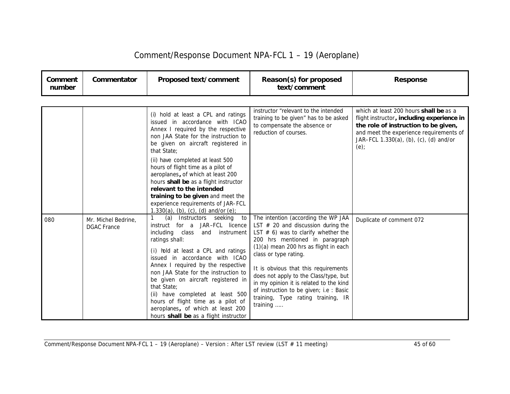| Comment/Response Document NPA-FCL 1 - 19 (Aeroplane) |  |  |
|------------------------------------------------------|--|--|
|------------------------------------------------------|--|--|

| Comment<br>number | Commentator                               | Proposed text/comment                                                                                                                                                                                                                                                                                                                                                                                                                                                                                          | Reason(s) for proposed<br>text/comment                                                                                                                                                                                                                                                                                                                                                                                                               | <b>Response</b>                                                                                                                                                                                                                 |
|-------------------|-------------------------------------------|----------------------------------------------------------------------------------------------------------------------------------------------------------------------------------------------------------------------------------------------------------------------------------------------------------------------------------------------------------------------------------------------------------------------------------------------------------------------------------------------------------------|------------------------------------------------------------------------------------------------------------------------------------------------------------------------------------------------------------------------------------------------------------------------------------------------------------------------------------------------------------------------------------------------------------------------------------------------------|---------------------------------------------------------------------------------------------------------------------------------------------------------------------------------------------------------------------------------|
|                   |                                           |                                                                                                                                                                                                                                                                                                                                                                                                                                                                                                                |                                                                                                                                                                                                                                                                                                                                                                                                                                                      |                                                                                                                                                                                                                                 |
|                   |                                           | (i) hold at least a CPL and ratings<br>issued in accordance with ICAO<br>Annex I required by the respective<br>non JAA State for the instruction to<br>be given on aircraft registered in<br>that State;<br>(ii) have completed at least 500<br>hours of flight time as a pilot of<br>aeroplanes, of which at least 200<br>hours shall be as a flight instructor<br>relevant to the intended<br>training to be given and meet the<br>experience requirements of JAR-FCL<br>1.330(a), (b), (c), (d) and/or (e); | instructor "relevant to the intended<br>training to be given" has to be asked<br>to compensate the absence or<br>reduction of courses.                                                                                                                                                                                                                                                                                                               | which at least 200 hours <b>shall be</b> as a<br>flight instructor, including experience in<br>the role of instruction to be given,<br>and meet the experience requirements of<br>JAR-FCL 1.330(a), (b), (c), (d) and/or<br>(e) |
| 080               | Mr. Michel Bedrine,<br><b>DGAC</b> France | (a)<br>Instructors seeking<br>to<br>instruct for a JAR-FCL licence<br>including class<br>instrument<br>and<br>ratings shall:<br>(i) hold at least a CPL and ratings<br>issued in accordance with ICAO<br>Annex I required by the respective<br>non JAA State for the instruction to<br>be given on aircraft registered in<br>that State:<br>(ii) have completed at least 500<br>hours of flight time as a pilot of<br>aeroplanes, of which at least 200<br>hours shall be as a flight instructor               | The intention (according the WP JAA<br>LST $#$ 20 and discussion during the<br>LST $# 6$ ) was to clarify whether the<br>200 hrs mentioned in paragraph<br>$(1)(a)$ mean 200 hrs as flight in each<br>class or type rating.<br>It is obvious that this requirements<br>does not apply to the Class/type, but<br>in my opinion it is related to the kind<br>of instruction to be given; i.e : Basic<br>training, Type rating training, IR<br>training | Duplicate of comment 072                                                                                                                                                                                                        |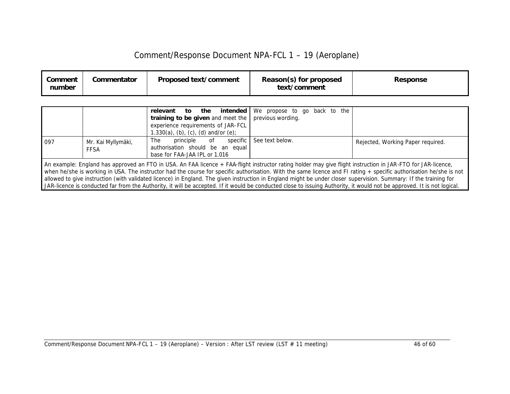| Comment<br>number | Commentator | <b>Proposed text/comment</b> | Reason(s) for proposed<br>text/comment | <b>Response</b> |
|-------------------|-------------|------------------------------|----------------------------------------|-----------------|
|-------------------|-------------|------------------------------|----------------------------------------|-----------------|

|                                                                                                                                                                                                                                                                                                                                                                                                                                                                                                                                                                                                                                                                                     |                            | intended<br>relevant<br>the<br>to<br>training to be given and meet the<br>experience requirements of JAR-FCL<br>1.330(a), (b), (c), (d) and/or (e); | We propose to go back to the<br>previous wording. |                                   |
|-------------------------------------------------------------------------------------------------------------------------------------------------------------------------------------------------------------------------------------------------------------------------------------------------------------------------------------------------------------------------------------------------------------------------------------------------------------------------------------------------------------------------------------------------------------------------------------------------------------------------------------------------------------------------------------|----------------------------|-----------------------------------------------------------------------------------------------------------------------------------------------------|---------------------------------------------------|-----------------------------------|
| 097                                                                                                                                                                                                                                                                                                                                                                                                                                                                                                                                                                                                                                                                                 | Mr. Kai Myllymäki,<br>FFSA | specific<br>principle<br>of<br>The<br>authorisation should be an equal<br>base for FAA-JAA IPL or 1.016                                             | See text below.                                   | Rejected, Working Paper required. |
| An example: England has approved an FTO in USA. An FAA licence + FAA-flight instructor rating holder may give flight instruction in JAR-FTO for JAR-licence,<br>when he/she is working in USA. The instructor had the course for specific authorisation. With the same licence and FI rating + specific authorisation he/she is not<br>allowed to give instruction (with validated licence) in England. The given instruction in England might be under closer supervision. Summary: If the training for<br>JAR-licence is conducted far from the Authority, it will be accepted. If it would be conducted close to issuing Authority, it would not be approved. It is not logical. |                            |                                                                                                                                                     |                                                   |                                   |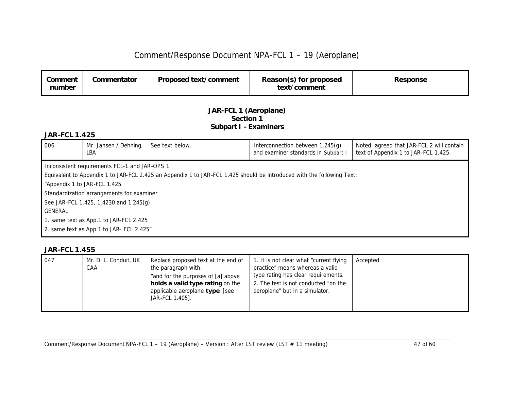| Comment<br>number | Commentator | Proposed text/comment | Reason(s) for proposed<br>text/comment | Response |
|-------------------|-------------|-----------------------|----------------------------------------|----------|
|-------------------|-------------|-----------------------|----------------------------------------|----------|

#### *JAR-FCL 1 (Aeroplane) Section 1 Subpart I - Examiners*

#### *JAR-FCL 1.425*

| 006                                    | Mr. Jansen / Dehning,<br>LBA                  | See text below.                                                                                                        | Interconnection between 1.245(g)<br>and examiner standards in Subpart I | Noted, agreed that JAR-FCL 2 will contain<br>text of Appendix 1 to JAR-FCL 1.425. |  |
|----------------------------------------|-----------------------------------------------|------------------------------------------------------------------------------------------------------------------------|-------------------------------------------------------------------------|-----------------------------------------------------------------------------------|--|
|                                        | Inconsistent requirements FCL-1 and JAR-OPS 1 |                                                                                                                        |                                                                         |                                                                                   |  |
|                                        |                                               | Equivalent to Appendix 1 to JAR-FCL 2.425 an Appendix 1 to JAR-FCL 1.425 should be introduced with the following Text: |                                                                         |                                                                                   |  |
|                                        | "Appendix 1 to JAR-FCL 1.425                  |                                                                                                                        |                                                                         |                                                                                   |  |
|                                        | Standardization arrangements for examiner     |                                                                                                                        |                                                                         |                                                                                   |  |
|                                        | See JAR-FCL 1.425, 1.4230 and 1.245(g)        |                                                                                                                        |                                                                         |                                                                                   |  |
| <b>GENERAL</b>                         |                                               |                                                                                                                        |                                                                         |                                                                                   |  |
| 1. same text as App.1 to JAR-FCL 2.425 |                                               |                                                                                                                        |                                                                         |                                                                                   |  |
|                                        | 2. same text as App.1 to JAR- FCL 2.425"      |                                                                                                                        |                                                                         |                                                                                   |  |

| 047 | Mr. D. L. Conduit, UK<br>CAA | Replace proposed text at the end of<br>the paragraph with:<br>"and for the purposes of [a] above<br>holds a valid type rating on the<br>applicable aeroplane type. [see<br>JAR-FCL 1.405]. | 1. It is not clear what "current flying<br>practice" means whereas a valid<br>type rating has clear requirements.<br>2. The test is not conducted "on the<br>aeroplane" but in a simulator. | Accepted. |
|-----|------------------------------|--------------------------------------------------------------------------------------------------------------------------------------------------------------------------------------------|---------------------------------------------------------------------------------------------------------------------------------------------------------------------------------------------|-----------|
|-----|------------------------------|--------------------------------------------------------------------------------------------------------------------------------------------------------------------------------------------|---------------------------------------------------------------------------------------------------------------------------------------------------------------------------------------------|-----------|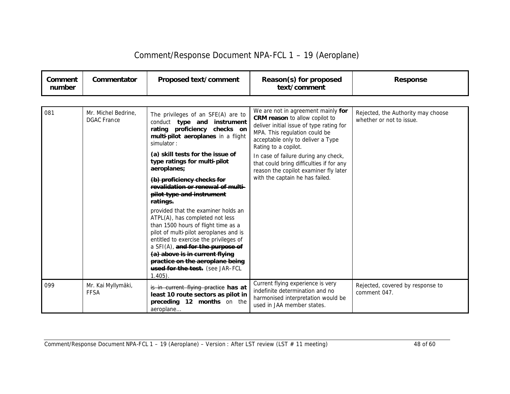| Comment<br>number | Commentator                                             | Proposed text/comment                                                                                                                                                                                                                                                                                                                                   | Reason(s) for proposed<br>text/comment                                                                                                                                                                                | <b>Response</b>                                                |
|-------------------|---------------------------------------------------------|---------------------------------------------------------------------------------------------------------------------------------------------------------------------------------------------------------------------------------------------------------------------------------------------------------------------------------------------------------|-----------------------------------------------------------------------------------------------------------------------------------------------------------------------------------------------------------------------|----------------------------------------------------------------|
|                   |                                                         |                                                                                                                                                                                                                                                                                                                                                         |                                                                                                                                                                                                                       |                                                                |
| 081               | Mr. Michel Bedrine.<br><b>DGAC</b> France               | The privileges of an SFE(A) are to<br>conduct type and instrument<br>rating proficiency checks on<br>multi-pilot aeroplanes in a flight<br>simulator:                                                                                                                                                                                                   | We are not in agreement mainly for<br><b>CRM reason</b> to allow copilot to<br>deliver initial issue of type rating for<br>MPA. This regulation could be<br>acceptable only to deliver a Type<br>Rating to a copilot. | Rejected, the Authority may choose<br>whether or not to issue. |
|                   |                                                         | (a) skill tests for the issue of<br>type ratings for multi-pilot<br>aeroplanes;                                                                                                                                                                                                                                                                         | In case of failure during any check,<br>that could bring difficulties if for any<br>reason the copilot examiner fly later                                                                                             |                                                                |
|                   | (b) proficiency checks for<br>pilot type and instrument | revalidation or renewal of multi-<br>ratings.                                                                                                                                                                                                                                                                                                           | with the captain he has failed.                                                                                                                                                                                       |                                                                |
|                   |                                                         | provided that the examiner holds an<br>ATPL(A), has completed not less<br>than 1500 hours of flight time as a<br>pilot of multi-pilot aeroplanes and is<br>entitled to exercise the privileges of<br>a SFI(A), and for the purpose of<br>(a) above is in current flying<br>practice on the aeroplane being<br>used for the test. (see JAR-FCL<br>1.405) |                                                                                                                                                                                                                       |                                                                |
| 099               | Mr. Kai Myllymäki,<br><b>FFSA</b>                       | is in current flying practice has at<br>least 10 route sectors as pilot in<br>preceding 12 months on the<br>aeroplane                                                                                                                                                                                                                                   | Current flying experience is very<br>indefinite determination and no<br>harmonised interpretation would be<br>used in JAA member states.                                                                              | Rejected, covered by response to<br>comment 047.               |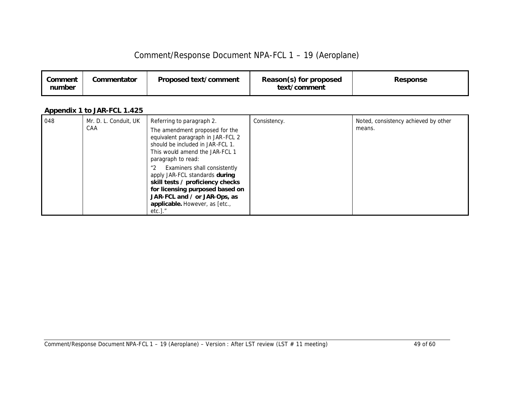| Comment<br>number | Commentator | Proposed text/comment | Reason(s) for proposed<br>text/comment | <b>Response</b> |
|-------------------|-------------|-----------------------|----------------------------------------|-----------------|
|-------------------|-------------|-----------------------|----------------------------------------|-----------------|

### *Appendix 1 to JAR-FCL 1.425*

| 048 | Mr. D. L. Conduit, UK | Referring to paragraph 2.                                                                                                                                                                                                                   | Consistency. | Noted, consistency achieved by other |
|-----|-----------------------|---------------------------------------------------------------------------------------------------------------------------------------------------------------------------------------------------------------------------------------------|--------------|--------------------------------------|
|     | CAA                   | The amendment proposed for the<br>equivalent paragraph in JAR-FCL 2<br>should be included in JAR-FCL 1.<br>This would amend the JAR-FCL 1<br>paragraph to read:                                                                             |              | means.                               |
|     |                       | Examiners shall consistently<br>$^{\prime\prime}2$<br>apply JAR-FCL standards during<br>skill tests / proficiency checks<br>for licensing purposed based on<br>JAR-FCL and / or JAR-Ops, as<br>applicable. However, as [etc.,<br>$etc.]$ ." |              |                                      |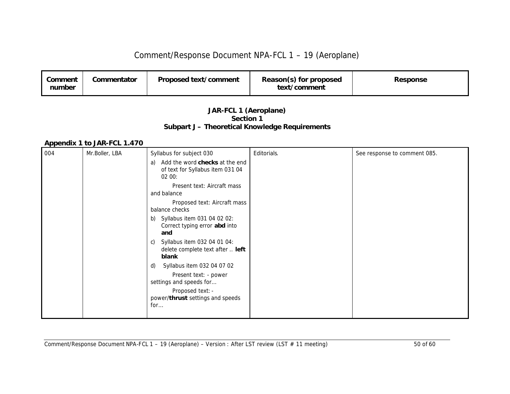| Comment<br>number | Commentator | Proposed text/comment | Reason(s) for proposed<br>text/comment | <b>Response</b> |
|-------------------|-------------|-----------------------|----------------------------------------|-----------------|
|                   |             |                       |                                        |                 |

#### *JAR-FCL 1 (Aeroplane) Section 1 Subpart J – Theoretical Knowledge Requirements*

#### *Appendix 1 to JAR-FCL 1.470*

| 004 | Mr.Boller, LBA | Syllabus for subject 030                                                                                                                            | Editorials. | See response to comment 085. |
|-----|----------------|-----------------------------------------------------------------------------------------------------------------------------------------------------|-------------|------------------------------|
|     |                | Add the word <i>checks</i> at the end<br>a)<br>of text for Syllabus item 031 04<br>0200:                                                            |             |                              |
|     |                | Present text: Aircraft mass<br>and balance                                                                                                          |             |                              |
|     |                | Proposed text: Aircraft mass<br>balance checks                                                                                                      |             |                              |
|     |                | b) Syllabus item 031 04 02 02:<br>Correct typing error abd into<br>and                                                                              |             |                              |
|     |                | Syllabus item 032 04 01 04:<br>C)<br>delete complete text after  left<br>blank                                                                      |             |                              |
|     |                | Syllabus item 032 04 07 02<br>d)<br>Present text: - power<br>settings and speeds for<br>Proposed text: -<br>power/thrust settings and speeds<br>for |             |                              |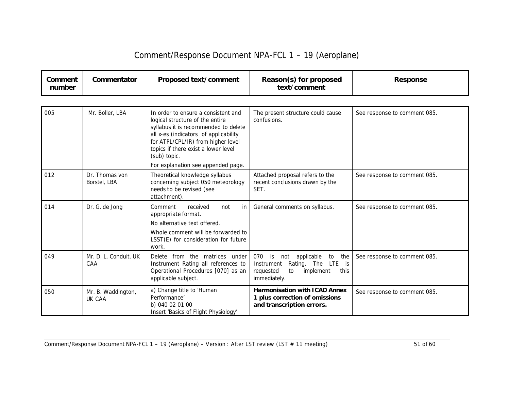| Comment<br>number | Commentator                    | Proposed text/comment                                                                                                                                                                                                                                | Reason(s) for proposed<br>text/comment                                                                                                     | <b>Response</b>              |
|-------------------|--------------------------------|------------------------------------------------------------------------------------------------------------------------------------------------------------------------------------------------------------------------------------------------------|--------------------------------------------------------------------------------------------------------------------------------------------|------------------------------|
|                   |                                |                                                                                                                                                                                                                                                      |                                                                                                                                            |                              |
| 005               | Mr. Boller, LBA                | In order to ensure a consistent and<br>logical structure of the entire<br>syllabus it is recommended to delete<br>all x-es (indicators of applicability<br>for ATPL/CPL/IR) from higher level<br>topics if there exist a lower level<br>(sub) topic. | The present structure could cause<br>confusions.                                                                                           | See response to comment 085. |
|                   |                                | For explanation see appended page.                                                                                                                                                                                                                   |                                                                                                                                            |                              |
| 012               | Dr. Thomas von<br>Borstel, LBA | Theoretical knowledge syllabus<br>concerning subject 050 meteorology<br>needs to be revised (see<br>attachment).                                                                                                                                     | Attached proposal refers to the<br>recent conclusions drawn by the<br>SET.                                                                 | See response to comment 085. |
| 014               | Dr. G. de Jong                 | Comment<br>received<br>not<br>in<br>appropriate format.<br>No alternative text offered.<br>Whole comment will be forwarded to<br>LSST(E) for consideration for future<br>work.                                                                       | General comments on syllabus.                                                                                                              | See response to comment 085. |
| 049               | Mr. D. L. Conduit, UK<br>CAA   | Delete from the matrices under<br>Instrument Rating all references to<br>Operational Procedures [070] as an<br>applicable subject.                                                                                                                   | 070<br>is<br>applicable<br>the<br>not<br>to<br>Rating. The LTE<br>Instrument<br>is<br>to<br>implement<br>this<br>requested<br>immediately. | See response to comment 085. |
| 050               | Mr. B. Waddington,<br>UK CAA   | a) Change title to 'Human<br>Performance'<br>b) 040 02 01 00<br>Insert 'Basics of Flight Physiology'                                                                                                                                                 | <b>Harmonisation with ICAO Annex</b><br>1 plus correction of omissions<br>and transcription errors.                                        | See response to comment 085. |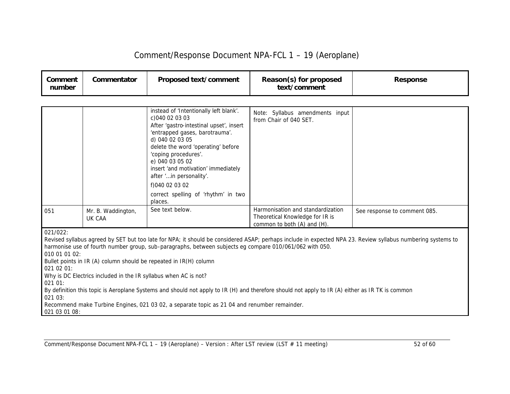| Comment/Response Document NPA-FCL 1 - 19 (Aeroplane) |  |  |
|------------------------------------------------------|--|--|
|------------------------------------------------------|--|--|

| Comment<br>number                                                              | Commentator                  | Proposed text/comment                                                                                                                                                                                                                                                                                                                                                                                                                                                                              | Reason(s) for proposed<br>text/comment                                                              | <b>Response</b>                                                                                                                                             |
|--------------------------------------------------------------------------------|------------------------------|----------------------------------------------------------------------------------------------------------------------------------------------------------------------------------------------------------------------------------------------------------------------------------------------------------------------------------------------------------------------------------------------------------------------------------------------------------------------------------------------------|-----------------------------------------------------------------------------------------------------|-------------------------------------------------------------------------------------------------------------------------------------------------------------|
|                                                                                |                              |                                                                                                                                                                                                                                                                                                                                                                                                                                                                                                    |                                                                                                     |                                                                                                                                                             |
|                                                                                |                              | instead of 'Intentionally left blank'.<br>c)040 02 03 03<br>After 'gastro-intestinal upset', insert<br>'entrapped gases, barotrauma'.<br>d) 040 02 03 05<br>delete the word 'operating' before<br>'coping procedures'.<br>e) 040 03 05 02<br>insert 'and motivation' immediately<br>after 'in personality'.<br>f)040 02 03 02<br>correct spelling of 'rhythm' in two<br>places.                                                                                                                    | Note: Syllabus amendments input<br>from Chair of 040 SET.                                           |                                                                                                                                                             |
| 051                                                                            | Mr. B. Waddington,<br>UK CAA | See text below.                                                                                                                                                                                                                                                                                                                                                                                                                                                                                    | Harmonisation and standardization<br>Theoretical Knowledge for IR is<br>common to both (A) and (H). | See response to comment 085.                                                                                                                                |
| 021/022:<br>010 01 01 02:<br>021 02 01:<br>021 01:<br>021 03:<br>021 03 01 08: |                              | harmonise use of fourth number group, sub-paragraphs, between subjects eg compare 010/061/062 with 050.<br>Bullet points in IR (A) column should be repeated in IR(H) column<br>Why is DC Electrics included in the IR syllabus when AC is not?<br>By definition this topic is Aeroplane Systems and should not apply to IR (H) and therefore should not apply to IR (A) either as IR TK is common<br>Recommend make Turbine Engines, 021 03 02, a separate topic as 21 04 and renumber remainder. |                                                                                                     | Revised syllabus agreed by SET but too late for NPA; it should be considered ASAP; perhaps include in expected NPA 23. Review syllabus numbering systems to |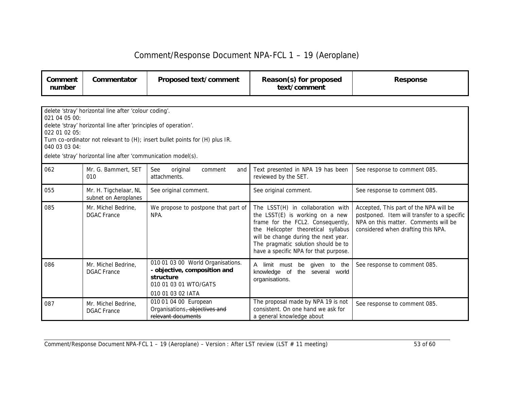| Comment<br>number | Commentator | Proposed text/comment | Reason(s) for proposed<br>text/comment | <b>Response</b> |
|-------------------|-------------|-----------------------|----------------------------------------|-----------------|
|-------------------|-------------|-----------------------|----------------------------------------|-----------------|

| delete 'stray' horizontal line after 'colour coding'.<br>021 04 05 00:<br>delete 'stray' horizontal line after 'principles of operation'.<br>022 01 02 05:<br>Turn co-ordinator not relevant to (H); insert bullet points for (H) plus IR.<br>040 03 03 04:<br>delete 'stray' horizontal line after 'communication model(s). |                                               |                                                                                                                              |                                                                                                                                                                                                                                                                          |                                                                                                                                                                     |  |  |
|------------------------------------------------------------------------------------------------------------------------------------------------------------------------------------------------------------------------------------------------------------------------------------------------------------------------------|-----------------------------------------------|------------------------------------------------------------------------------------------------------------------------------|--------------------------------------------------------------------------------------------------------------------------------------------------------------------------------------------------------------------------------------------------------------------------|---------------------------------------------------------------------------------------------------------------------------------------------------------------------|--|--|
| 062                                                                                                                                                                                                                                                                                                                          | Mr. G. Bammert, SET<br>010                    | See<br>original<br>comment<br>and<br>attachments.                                                                            | Text presented in NPA 19 has been<br>reviewed by the SET.                                                                                                                                                                                                                | See response to comment 085.                                                                                                                                        |  |  |
| 055                                                                                                                                                                                                                                                                                                                          | Mr. H. Tigchelaar, NL<br>subnet on Aeroplanes | See original comment.                                                                                                        | See original comment.                                                                                                                                                                                                                                                    | See response to comment 085.                                                                                                                                        |  |  |
| 085                                                                                                                                                                                                                                                                                                                          | Mr. Michel Bedrine,<br><b>DGAC France</b>     | We propose to postpone that part of<br>NPA.                                                                                  | The LSST(H) in collaboration with<br>the LSST(E) is working on a new<br>frame for the FCL2. Consequently,<br>the Helicopter theoretical syllabus<br>will be change during the next year.<br>The pragmatic solution should be to<br>have a specific NPA for that purpose. | Accepted, This part of the NPA will be<br>postponed. Item will transfer to a specific<br>NPA on this matter. Comments will be<br>considered when drafting this NPA. |  |  |
| 086                                                                                                                                                                                                                                                                                                                          | Mr. Michel Bedrine.<br><b>DGAC France</b>     | 010 01 03 00 World Organisations.<br>- objective, composition and<br>structure<br>010 01 03 01 WTO/GATS<br>010 01 03 02 IATA | given to the<br>A<br>limit must be<br>the<br>knowledge of<br>several<br>world<br>organisations.                                                                                                                                                                          | See response to comment 085.                                                                                                                                        |  |  |
| 087                                                                                                                                                                                                                                                                                                                          | Mr. Michel Bedrine.<br><b>DGAC</b> France     | 010 01 04 00 European<br>Organisations, objectives and<br>relevant documents                                                 | The proposal made by NPA 19 is not<br>consistent. On one hand we ask for<br>a general knowledge about                                                                                                                                                                    | See response to comment 085.                                                                                                                                        |  |  |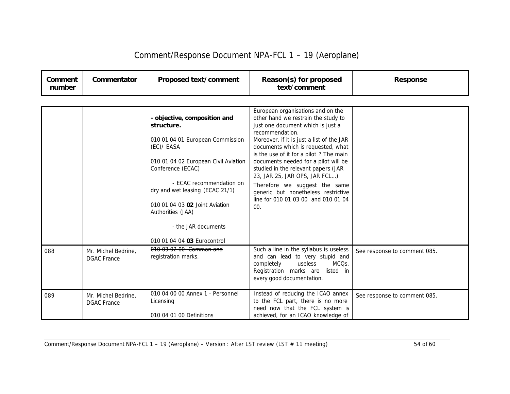| Comment/Response Document NPA-FCL 1 - 19 (Aeroplane) |  |  |
|------------------------------------------------------|--|--|
|------------------------------------------------------|--|--|

| Comment<br>number | Commentator                               | Proposed text/comment                                                                                                                                                                                                                                                                                  | Reason(s) for proposed<br>text/comment                                                                                                                                                                                                                                                                                                                                                                                                                                                               | <b>Response</b>              |
|-------------------|-------------------------------------------|--------------------------------------------------------------------------------------------------------------------------------------------------------------------------------------------------------------------------------------------------------------------------------------------------------|------------------------------------------------------------------------------------------------------------------------------------------------------------------------------------------------------------------------------------------------------------------------------------------------------------------------------------------------------------------------------------------------------------------------------------------------------------------------------------------------------|------------------------------|
|                   |                                           |                                                                                                                                                                                                                                                                                                        |                                                                                                                                                                                                                                                                                                                                                                                                                                                                                                      |                              |
|                   |                                           | - objective, composition and<br>structure.<br>010 01 04 01 European Commission<br>(EC)/ EASA<br>010 01 04 02 European Civil Aviation<br>Conference (ECAC)<br>- ECAC recommendation on<br>dry and wet leasing (ECAC 21/1)<br>010 01 04 03 02 Joint Aviation<br>Authorities (JAA)<br>- the JAR documents | European organisations and on the<br>other hand we restrain the study to<br>just one document which is just a<br>recommendation.<br>Moreover, if it is just a list of the JAR<br>documents which is requested, what<br>is the use of it for a pilot ? The main<br>documents needed for a pilot will be<br>studied in the relevant papers (JAR<br>23, JAR 25, JAR OPS, JAR FCL)<br>Therefore we suggest the same<br>generic but nonetheless restrictive<br>line for 010 01 03 00 and 010 01 04<br>00. |                              |
|                   |                                           | 010 01 04 04 03 Eurocontrol<br>010 03 02 00 Common and                                                                                                                                                                                                                                                 |                                                                                                                                                                                                                                                                                                                                                                                                                                                                                                      |                              |
| 088               | Mr. Michel Bedrine,<br><b>DGAC</b> France | registration marks.                                                                                                                                                                                                                                                                                    | Such a line in the syllabus is useless<br>and can lead to very stupid and<br>useless<br>MCQ <sub>S</sub> .<br>completely<br>Registration marks are<br>listed in<br>every good documentation.                                                                                                                                                                                                                                                                                                         | See response to comment 085. |
| 089               | Mr. Michel Bedrine,<br><b>DGAC</b> France | 010 04 00 00 Annex 1 - Personnel<br>Licensing<br>010 04 01 00 Definitions                                                                                                                                                                                                                              | Instead of reducing the ICAO annex<br>to the FCL part, there is no more<br>need now that the FCL system is<br>achieved, for an ICAO knowledge of                                                                                                                                                                                                                                                                                                                                                     | See response to comment 085. |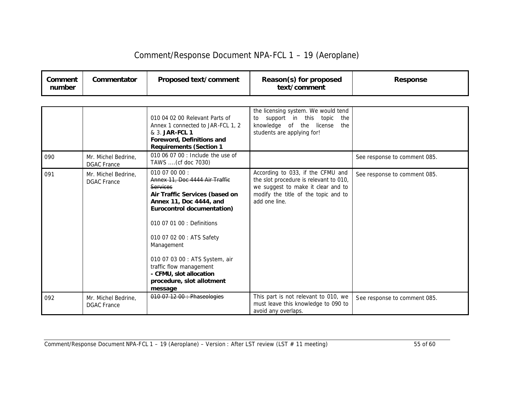| Comment/Response Document NPA-FCL 1 - 19 (Aeroplane) |  |  |
|------------------------------------------------------|--|--|
|------------------------------------------------------|--|--|

| Comment<br>number | Commentator                               | Proposed text/comment                                                                                                                                                                                                                                                                                                                                                  | Reason(s) for proposed<br>text/comment                                                                                                                                     | <b>Response</b>              |
|-------------------|-------------------------------------------|------------------------------------------------------------------------------------------------------------------------------------------------------------------------------------------------------------------------------------------------------------------------------------------------------------------------------------------------------------------------|----------------------------------------------------------------------------------------------------------------------------------------------------------------------------|------------------------------|
|                   |                                           |                                                                                                                                                                                                                                                                                                                                                                        |                                                                                                                                                                            |                              |
|                   |                                           | 010 04 02 00 Relevant Parts of<br>Annex 1 connected to JAR-FCL 1, 2<br>& 3. JAR-FCL 1<br>Foreword, Definitions and<br><b>Requirements (Section 1</b>                                                                                                                                                                                                                   | the licensing system. We would tend<br>support in this topic<br>the<br>to<br>knowledge of the license<br>the<br>students are applying for!                                 |                              |
| 090               | Mr. Michel Bedrine,<br><b>DGAC</b> France | 010 06 07 00 : Include the use of<br>TAWS  (cf doc 7030)                                                                                                                                                                                                                                                                                                               |                                                                                                                                                                            | See response to comment 085. |
| 091               | Mr. Michel Bedrine,<br><b>DGAC France</b> | 010 07 00 00:<br>Annex 11, Doc 4444 Air Traffic<br><b>Services</b><br>Air Traffic Services (based on<br>Annex 11, Doc 4444, and<br>Eurocontrol documentation)<br>010 07 01 00 : Definitions<br>010 07 02 00 : ATS Safety<br>Management<br>010 07 03 00 : ATS System, air<br>traffic flow management<br>- CFMU, slot allocation<br>procedure, slot allotment<br>message | According to 033, if the CFMU and<br>the slot procedure is relevant to 010,<br>we suggest to make it clear and to<br>modify the title of the topic and to<br>add one line. | See response to comment 085. |
| 092               | Mr. Michel Bedrine,<br><b>DGAC</b> France | 010 07 12 00 : Phaseologies                                                                                                                                                                                                                                                                                                                                            | This part is not relevant to 010, we<br>must leave this knowledge to 090 to<br>avoid any overlaps.                                                                         | See response to comment 085. |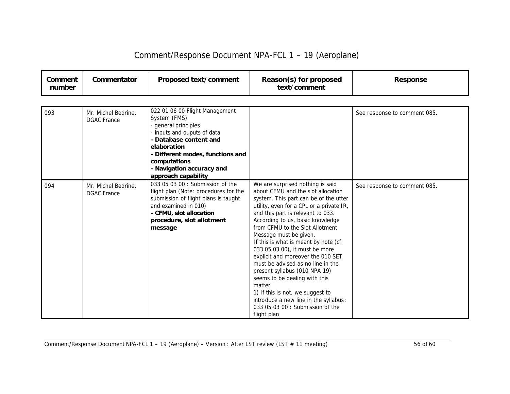| Comment<br>number | Commentator                               | Proposed text/comment                                                                                                                                                                                                                                  | Reason(s) for proposed<br>text/comment                                                                                                                                                                                                                                                                                                                                                                                                                                                                                                                                                                                                                             | <b>Response</b>              |
|-------------------|-------------------------------------------|--------------------------------------------------------------------------------------------------------------------------------------------------------------------------------------------------------------------------------------------------------|--------------------------------------------------------------------------------------------------------------------------------------------------------------------------------------------------------------------------------------------------------------------------------------------------------------------------------------------------------------------------------------------------------------------------------------------------------------------------------------------------------------------------------------------------------------------------------------------------------------------------------------------------------------------|------------------------------|
|                   |                                           |                                                                                                                                                                                                                                                        |                                                                                                                                                                                                                                                                                                                                                                                                                                                                                                                                                                                                                                                                    |                              |
| 093               | Mr. Michel Bedrine,<br><b>DGAC France</b> | 022 01 06 00 Flight Management<br>System (FMS)<br>- general principles<br>- inputs and ouputs of data<br>- Database content and<br>elaboration<br>- Different modes, functions and<br>computations<br>- Navigation accuracy and<br>approach capability |                                                                                                                                                                                                                                                                                                                                                                                                                                                                                                                                                                                                                                                                    | See response to comment 085. |
| 094               | Mr. Michel Bedrine.<br><b>DGAC</b> France | 033 05 03 00 : Submission of the<br>flight plan (Note: procedures for the<br>submission of flight plans is taught<br>and examined in 010)<br>- CFMU, slot allocation<br>procedure, slot allotment<br>message                                           | We are surprised nothing is said<br>about CFMU and the slot allocation<br>system. This part can be of the utter<br>utility, even for a CPL or a private IR,<br>and this part is relevant to 033.<br>According to us, basic knowledge<br>from CFMU to the Slot Allotment<br>Message must be given.<br>If this is what is meant by note (cf<br>033 05 03 00), it must be more<br>explicit and moreover the 010 SET<br>must be advised as no line in the<br>present syllabus (010 NPA 19)<br>seems to be dealing with this<br>matter.<br>1) If this is not, we suggest to<br>introduce a new line in the syllabus:<br>033 05 03 00 : Submission of the<br>flight plan | See response to comment 085. |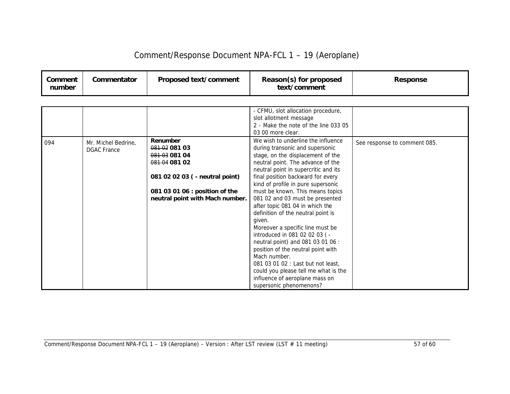| Comment/Response Document NPA-FCL 1 - 19 (Aeroplane) |  |  |
|------------------------------------------------------|--|--|
|------------------------------------------------------|--|--|

| Comment<br>number | Commentator | Proposed text/comment | Reason(s) for proposed<br>text/comment | Response |
|-------------------|-------------|-----------------------|----------------------------------------|----------|
|-------------------|-------------|-----------------------|----------------------------------------|----------|

|     |                     |                                 | - CFMU, slot allocation procedure,   |                              |
|-----|---------------------|---------------------------------|--------------------------------------|------------------------------|
|     |                     |                                 | slot allotment message               |                              |
|     |                     |                                 | 2 - Make the note of the line 033 05 |                              |
|     |                     |                                 | 03 00 more clear.                    |                              |
| 094 | Mr. Michel Bedrine, | Renumber                        | We wish to underline the influence   | See response to comment 085. |
|     | <b>DGAC France</b>  | 0810208103                      | during transonic and supersonic      |                              |
|     |                     | 0810308104                      | stage, on the displacement of the    |                              |
|     |                     | 0810408102                      | neutral point. The advance of the    |                              |
|     |                     |                                 | neutral point in supercritic and its |                              |
|     |                     | 081 02 02 03 ( - neutral point) | final position backward for every    |                              |
|     |                     |                                 | kind of profile in pure supersonic   |                              |
|     |                     | 081 03 01 06 : position of the  | must be known. This means topics     |                              |
|     |                     | neutral point with Mach number. | 081 02 and 03 must be presented      |                              |
|     |                     |                                 | after topic 081 04 in which the      |                              |
|     |                     |                                 | definition of the neutral point is   |                              |
|     |                     |                                 | given.                               |                              |
|     |                     |                                 | Moreover a specific line must be     |                              |
|     |                     |                                 | introduced in 081 02 02 03 (-        |                              |
|     |                     |                                 | neutral point) and 081 03 01 06 :    |                              |
|     |                     |                                 | position of the neutral point with   |                              |
|     |                     |                                 | Mach number.                         |                              |
|     |                     |                                 | 081 03 01 02 : Last but not least,   |                              |
|     |                     |                                 | could you please tell me what is the |                              |
|     |                     |                                 | influence of aeroplane mass on       |                              |
|     |                     |                                 | supersonic phenomenons?              |                              |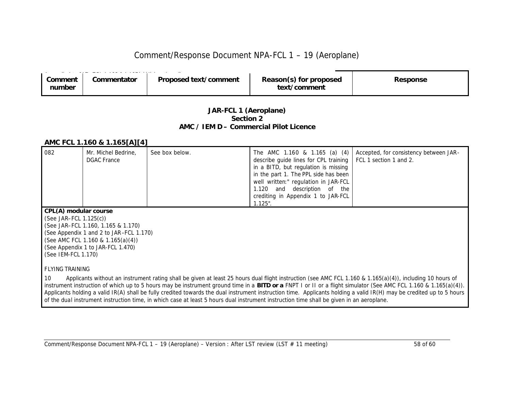| Comment<br>number | Commentator | Proposed text/comment | Reason(s) for proposed<br>text/comment | Response |
|-------------------|-------------|-----------------------|----------------------------------------|----------|
|                   |             |                       |                                        |          |

#### *JAR-FCL 1 (Aeroplane) Section 2 AMC / IEM D – Commercial Pilot Licence*

#### *AMC FCL 1.160 & 1.165[A][4]*

| 082                      | Mr. Michel Bedrine,<br><b>DGAC</b> France | See box below. | The AMC 1.160 & 1.165 (a) (4)<br>describe guide lines for CPL training<br>in a BITD, but regulation is missing<br>in the part 1. The PPL side has been<br>well written:" regulation in JAR-FCL<br>and description of the<br>1.120<br>crediting in Appendix 1 to JAR-FCL<br>$1.125$ ". | Accepted, for consistency between JAR-<br>FCL 1 section 1 and 2.                                                                                                                                                                                                                                                                                                                                                                                                                                               |  |  |
|--------------------------|-------------------------------------------|----------------|---------------------------------------------------------------------------------------------------------------------------------------------------------------------------------------------------------------------------------------------------------------------------------------|----------------------------------------------------------------------------------------------------------------------------------------------------------------------------------------------------------------------------------------------------------------------------------------------------------------------------------------------------------------------------------------------------------------------------------------------------------------------------------------------------------------|--|--|
| CPL(A) modular course    |                                           |                |                                                                                                                                                                                                                                                                                       |                                                                                                                                                                                                                                                                                                                                                                                                                                                                                                                |  |  |
| $(See JAR-FCL 1.125(c))$ |                                           |                |                                                                                                                                                                                                                                                                                       |                                                                                                                                                                                                                                                                                                                                                                                                                                                                                                                |  |  |
|                          | (See JAR-FCL 1.160, 1.165 & 1.170)        |                |                                                                                                                                                                                                                                                                                       |                                                                                                                                                                                                                                                                                                                                                                                                                                                                                                                |  |  |
|                          | (See Appendix 1 and 2 to JAR-FCL 1.170)   |                |                                                                                                                                                                                                                                                                                       |                                                                                                                                                                                                                                                                                                                                                                                                                                                                                                                |  |  |
|                          | (See AMC FCL 1.160 & 1.165(a)(4))         |                |                                                                                                                                                                                                                                                                                       |                                                                                                                                                                                                                                                                                                                                                                                                                                                                                                                |  |  |
|                          | (See Appendix 1 to JAR-FCL 1.470)         |                |                                                                                                                                                                                                                                                                                       |                                                                                                                                                                                                                                                                                                                                                                                                                                                                                                                |  |  |
|                          | (See IEM-FCL 1.170)                       |                |                                                                                                                                                                                                                                                                                       |                                                                                                                                                                                                                                                                                                                                                                                                                                                                                                                |  |  |
|                          |                                           |                |                                                                                                                                                                                                                                                                                       |                                                                                                                                                                                                                                                                                                                                                                                                                                                                                                                |  |  |
| <b>FLYING TRAINING</b>   |                                           |                |                                                                                                                                                                                                                                                                                       |                                                                                                                                                                                                                                                                                                                                                                                                                                                                                                                |  |  |
| 10                       |                                           |                |                                                                                                                                                                                                                                                                                       | Applicants without an instrument rating shall be given at least 25 hours dual flight instruction (see AMC FCL 1.160 & 1.165(a)(4)), including 10 hours of<br>instrument instruction of which up to 5 hours may be instrument ground time in a <b>BITD or a</b> FNPT I or II or a flight simulator (See AMC FCL 1.160 & 1.165(a)(4)).<br>Applicante holding a valid ID(A) shall be fully exadited towards the dual instrument instruction time. Applicante holding a valid ID(II) moy be credited up to E hours |  |  |

Applicants holding a valid IR(A) shall be fully credited towards the dual instrument instruction time. Applicants holding a valid IR(H) may be credited up to 5 hours of the dual instrument instruction time, in which case at least 5 hours dual instrument instruction time shall be given in an aeroplane.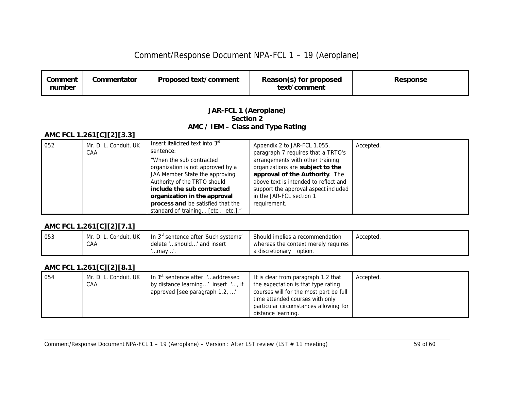| Comment<br>number | Commentator | Proposed text/comment | Reason(s) for proposed<br>text/comment | <b>Response</b> |
|-------------------|-------------|-----------------------|----------------------------------------|-----------------|
|-------------------|-------------|-----------------------|----------------------------------------|-----------------|

#### *JAR-FCL 1 (Aeroplane) Section 2 AMC / IEM – Class and Type Rating*

#### *AMC FCL 1.261[C][2][3.3]*

| 052 | Mr. D. L. Conduit, UK<br>CAA | Insert italicized text into $3^{\circ}$<br>sentence: | Appendix 2 to JAR-FCL 1.055,<br>paragraph 7 requires that a TRTO's | Accepted. |
|-----|------------------------------|------------------------------------------------------|--------------------------------------------------------------------|-----------|
|     |                              | "When the sub contracted"                            | arrangements with other training                                   |           |
|     |                              | organization is not approved by a                    | organizations are subject to the                                   |           |
|     |                              | JAA Member State the approving                       | approval of the Authority. The                                     |           |
|     |                              | Authority of the TRTO should                         | above text is intended to reflect and                              |           |
|     |                              | include the sub contracted                           | support the approval aspect included                               |           |
|     |                              | organization in the approval                         | in the JAR-FCL section 1                                           |           |
|     |                              | <b>process and</b> be satisfied that the             | requirement.                                                       |           |
|     |                              | standard of training [etc., etc.]."                  |                                                                    |           |

#### *AMC FCL 1.261[C][2][7.1]*

| 053 | Mr. D. L. Conduit, UK | In 3 <sup>"</sup> sentence after 'Such systems' | Should implies a recommendation     | Accepted. |
|-----|-----------------------|-------------------------------------------------|-------------------------------------|-----------|
|     | CAA                   | delete 'should' and insert                      | whereas the context merely requires |           |
|     |                       | …mav…'.                                         | a discretionarv<br>option.          |           |

#### *AMC FCL 1.261[C][2][8.1]*

| 054 | Mr. D. L. Conduit, UK | In 1 <sup>st</sup> sentence after 'addressed | It is clear from paragraph 1.2 that    | Accepted. |
|-----|-----------------------|----------------------------------------------|----------------------------------------|-----------|
|     | CAA                   | by distance learning' insert ', if           | the expectation is that type rating    |           |
|     |                       | approved [see paragraph 1.2, '               | courses will for the most part be full |           |
|     |                       |                                              | time attended courses with only        |           |
|     |                       |                                              | particular circumstances allowing for  |           |
|     |                       |                                              | distance learning.                     |           |

Comment/Response Document NPA-FCL 1 – 19 (Aeroplane) – Version : After LST review (LST # 11 meeting) 59 of 60